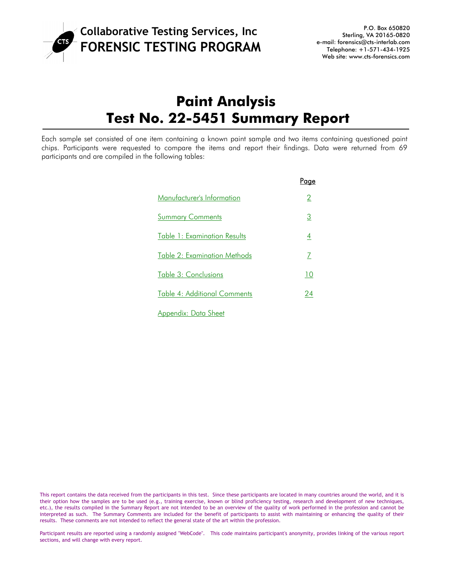

# **Paint Analysis Test No. 22-5451 Summary Report**

Each sample set consisted of one item containing a known paint sample and two items containing questioned paint chips. Participants were requested to compare the items and report their findings. Data were returned from 69 participants and are compiled in the following tables:

|                                     | Page                  |
|-------------------------------------|-----------------------|
| Manufacturer's Information          | $\mathbf{2}^{\prime}$ |
| <b>Summary Comments</b>             | 3                     |
| Table 1: Examination Results        | 4                     |
| <b>Table 2: Examination Methods</b> | 7                     |
| Table 3: Conclusions                | 10                    |
| <b>Table 4: Additional Comments</b> | 24                    |
| Appendix: Data Sheet                |                       |

This report contains the data received from the participants in this test. Since these participants are located in many countries around the world, and it is their option how the samples are to be used (e.g., training exercise, known or blind proficiency testing, research and development of new techniques, etc.), the results compiled in the Summary Report are not intended to be an overview of the quality of work performed in the profession and cannot be interpreted as such. The Summary Comments are included for the benefit of participants to assist with maintaining or enhancing the quality of their results. These comments are not intended to reflect the general state of the art within the profession.

Participant results are reported using a randomly assigned "WebCode". This code maintains participant's anonymity, provides linking of the various report sections, and will change with every report.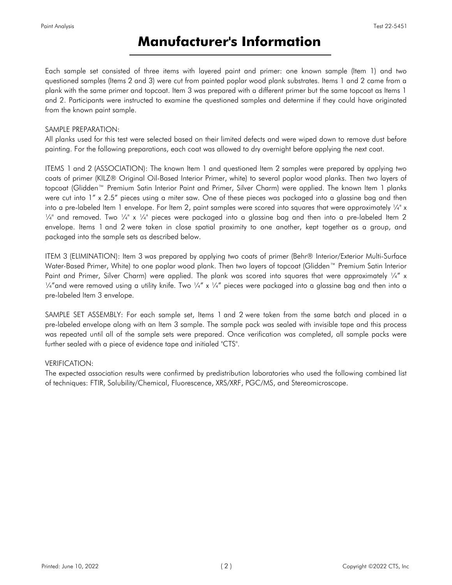# **Manufacturer's Information**

<span id="page-1-0"></span>Each sample set consisted of three items with layered paint and primer: one known sample (Item 1) and two questioned samples (Items 2 and 3) were cut from painted poplar wood plank substrates. Items 1 and 2 came from a plank with the same primer and topcoat. Item 3 was prepared with a different primer but the same topcoat as Items 1 and 2. Participants were instructed to examine the questioned samples and determine if they could have originated from the known paint sample.

#### SAMPLE PREPARATION:

All planks used for this test were selected based on their limited defects and were wiped down to remove dust before painting. For the following preparations, each coat was allowed to dry overnight before applying the next coat.

ITEMS 1 and 2 (ASSOCIATION): The known Item 1 and questioned Item 2 samples were prepared by applying two coats of primer (KILZ® Original Oil-Based Interior Primer, white) to several poplar wood planks. Then two layers of topcoat (Glidden™ Premium Satin Interior Paint and Primer, Silver Charm) were applied. The known Item 1 planks were cut into 1" x 2.5" pieces using a miter saw. One of these pieces was packaged into a glassine bag and then into a pre-labeled Item 1 envelope. For Item 2, paint samples were scored into squares that were approximately  $\frac{1}{4}$ " x  $\frac{1}{4}$ " and removed. Two  $\frac{1}{4}$ " x  $\frac{1}{4}$ " pieces were packaged into a glassine bag and then into a pre-labeled Item 2 envelope. Items 1 and 2 were taken in close spatial proximity to one another, kept together as a group, and packaged into the sample sets as described below.

ITEM 3 (ELIMINATION): Item 3 was prepared by applying two coats of primer (Behr® Interior/Exterior Multi-Surface Water-Based Primer, White) to one poplar wood plank. Then two layers of topcoat (Glidden™ Premium Satin Interior Paint and Primer, Silver Charm) were applied. The plank was scored into squares that were approximately 1/4" x  $\frac{1}{4}$  and were removed using a utility knife. Two  $\frac{1}{4}$  x  $\frac{1}{4}$  pieces were packaged into a glassine bag and then into a pre-labeled Item 3 envelope.

SAMPLE SET ASSEMBLY: For each sample set, Items 1 and 2 were taken from the same batch and placed in a pre-labeled envelope along with an Item 3 sample. The sample pack was sealed with invisible tape and this process was repeated until all of the sample sets were prepared. Once verification was completed, all sample packs were further sealed with a piece of evidence tape and initialed "CTS".

#### VERIFICATION:

The expected association results were confirmed by predistribution laboratories who used the following combined list of techniques: FTIR, Solubility/Chemical, Fluorescence, XRS/XRF, PGC/MS, and Stereomicroscope.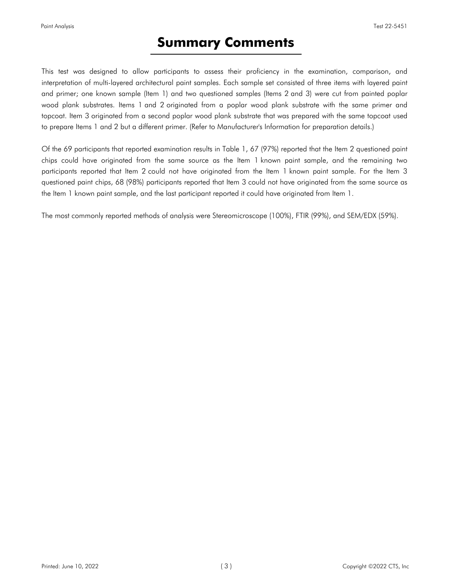# **Summary Comments**

<span id="page-2-0"></span>This test was designed to allow participants to assess their proficiency in the examination, comparison, and interpretation of multi-layered architectural paint samples. Each sample set consisted of three items with layered paint and primer; one known sample (Item 1) and two questioned samples (Items 2 and 3) were cut from painted poplar wood plank substrates. Items 1 and 2 originated from a poplar wood plank substrate with the same primer and topcoat. Item 3 originated from a second poplar wood plank substrate that was prepared with the same topcoat used to prepare Items 1 and 2 but a different primer. (Refer to Manufacturer's Information for preparation details.)

Of the 69 participants that reported examination results in Table 1, 67 (97%) reported that the Item 2 questioned paint chips could have originated from the same source as the Item 1 known paint sample, and the remaining two participants reported that Item 2 could not have originated from the Item 1 known paint sample. For the Item 3 questioned paint chips, 68 (98%) participants reported that Item 3 could not have originated from the same source as the Item 1 known paint sample, and the last participant reported it could have originated from Item 1.

The most commonly reported methods of analysis were Stereomicroscope (100%), FTIR (99%), and SEM/EDX (59%).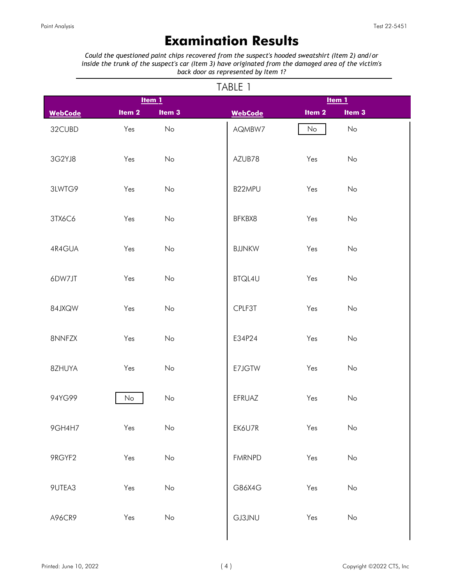# **Examination Results**

<span id="page-3-0"></span>*Could the questioned paint chips recovered from the suspect's hooded sweatshirt (Item 2) and/or inside the trunk of the suspect's car (Item 3) have originated from the damaged area of the victim's back door as represented by Item 1?*

|                | 1/1<br>Item 1<br>Item 1 |                              |  |                |  |                   |                   |  |  |  |
|----------------|-------------------------|------------------------------|--|----------------|--|-------------------|-------------------|--|--|--|
| <b>WebCode</b> | Item <sub>2</sub>       | Item <sub>3</sub>            |  | <b>WebCode</b> |  | Item <sub>2</sub> | Item <sub>3</sub> |  |  |  |
| 32CUBD         | Yes                     | No                           |  | AQMBW7         |  | No                | No                |  |  |  |
| 3G2YJ8         | Yes                     | No                           |  | AZUB78         |  | Yes               | No                |  |  |  |
| 3LWTG9         | Yes                     | No                           |  | B22MPU         |  | Yes               | No                |  |  |  |
| 3TX6C6         | Yes                     | No                           |  | BFKBX8         |  | Yes               | No                |  |  |  |
| 4R4GUA         | Yes                     | No                           |  | <b>BJJNKW</b>  |  | Yes               | No                |  |  |  |
| 6DW7JT         | Yes                     | No                           |  | BTQL4U         |  | Yes               | No                |  |  |  |
| 84JXQW         | Yes                     | No                           |  | CPLF3T         |  | Yes               | No                |  |  |  |
| 8NNFZX         | Yes                     | No                           |  | E34P24         |  | Yes               | No                |  |  |  |
| 8ZHUYA         | Yes                     | No                           |  | E7JGTW         |  | Yes               | No                |  |  |  |
| 94YG99         | No                      | No                           |  | EFRUAZ         |  | Yes               | No                |  |  |  |
| 9GH4H7         | Yes                     | $\mathsf{No}$                |  | EK6U7R         |  | Yes               | No                |  |  |  |
| 9RGYF2         | Yes                     | No                           |  | <b>FMRNPD</b>  |  | Yes               | $\mathsf{No}$     |  |  |  |
| 9UTEA3         | Yes                     | $\mathsf{No}$                |  | G86X4G         |  | Yes               | No                |  |  |  |
| A96CR9         | Yes                     | $\operatorname{\mathsf{No}}$ |  | <b>GJ3JNU</b>  |  | Yes               | $\mathsf{No}$     |  |  |  |

#### TABLE 1

 $\overline{\phantom{a}}$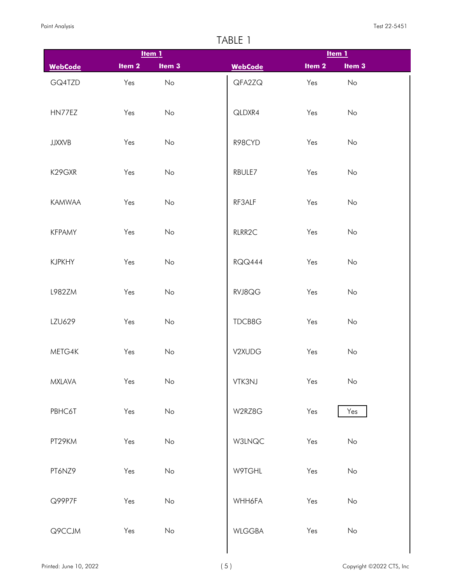|                |          | Item $1$      |                |                   | $Item 1$          |  |
|----------------|----------|---------------|----------------|-------------------|-------------------|--|
| <b>WebCode</b> | Item $2$ | Item 3        | <b>WebCode</b> | Item <sub>2</sub> | Item <sub>3</sub> |  |
| GQ4TZD         | Yes      | No            | QFA2ZQ         | Yes               | No                |  |
| HN77EZ         | Yes      | No            | QLDXR4         | Yes               | No                |  |
| <b>JJXXVB</b>  | Yes      | No            | R98CYD         | Yes               | No                |  |
| K29GXR         | Yes      | No            | RBULE7         | Yes               | No                |  |
| <b>KAMWAA</b>  | Yes      | No            | RF3ALF         | Yes               | No                |  |
| <b>KFPAMY</b>  | Yes      | No            | RLRR2C         | Yes               | No                |  |
| <b>KJPKHY</b>  | Yes      | No            | <b>RQQ444</b>  | Yes               | No                |  |
| L982ZM         | Yes      | No            | RVJ8QG         | Yes               | No                |  |
| LZU629         | Yes      | No            | TDCB8G         | Yes               | No                |  |
| METG4K         | Yes      | No            | V2XUDG         | Yes               | No                |  |
| <b>MXLAVA</b>  | Yes      | $\mathsf{No}$ | VTK3NJ         | Yes               | $\mathsf{No}$     |  |
| PBHC6T         | Yes      | $\mathsf{No}$ | W2RZ8G         | Yes               | Yes               |  |
| PT29KM         | Yes      | $\mathsf{No}$ | <b>W3LNQC</b>  | Yes               | No                |  |
| PT6NZ9         | Yes      | No            | W9TGHL         | Yes               | No                |  |
| Q99P7F         | Yes      | $\mathsf{No}$ | WHH6FA         | Yes               | No                |  |
| Q9CCJM         | Yes      | $\mathsf{No}$ | <b>WLGGBA</b>  | Yes               | $\mathsf{No}$     |  |

 $\overline{\phantom{a}}$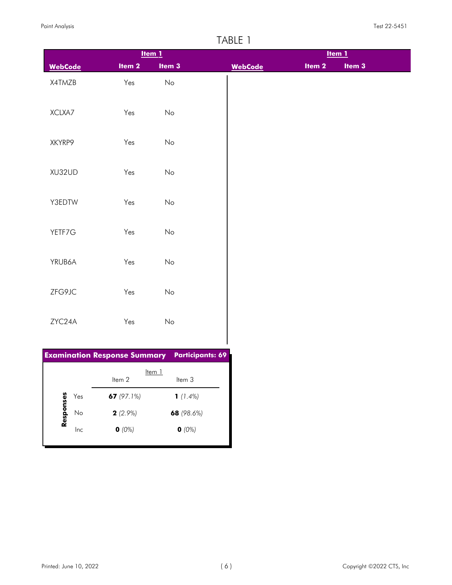|                                     |                   | $Item 1$         |
|-------------------------------------|-------------------|------------------|
| <b>WebCode</b>                      | Item <sub>2</sub> | Item 3           |
| X4TMZB                              | Yes               | $\mathsf{No}$    |
|                                     |                   |                  |
| XCLXA7                              | Yes               | No               |
|                                     |                   |                  |
| XKYRP9                              | Yes               | No               |
|                                     |                   |                  |
| XU32UD                              | Yes               | No               |
|                                     |                   |                  |
| Y3EDTW                              | Yes               | No               |
| YETF7G                              | Yes               | No               |
|                                     |                   |                  |
| YRUB6A                              | Yes               | No               |
|                                     |                   |                  |
| ZFG9JC                              | Yes               | No               |
|                                     |                   |                  |
| ZYC24A                              | Yes               | No               |
|                                     |                   |                  |
| <b>Examination Response Summary</b> |                   | Participants: 69 |
|                                     |                   | Item 1           |

|           |     | Item 2        | Item 1<br>ltem 3 |
|-----------|-----|---------------|------------------|
|           | Yes | 67 $(97.1\%)$ | 1 $(1.4\%)$      |
| Responses | No  | $2(2.9\%)$    | 68 $(98.6%)$     |
|           | Inc | $O(0\%)$      | $O(0\%)$         |
|           |     |               |                  |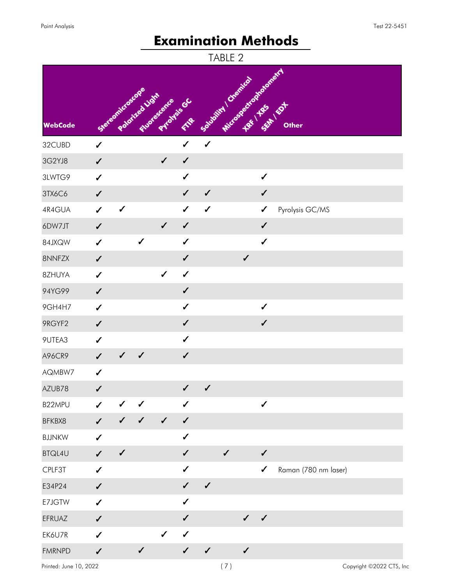# **Examination Methods**

<span id="page-6-0"></span>

|                |                  |                                    |              |                            |              |                       | TABLE 2                |              |              |                          |
|----------------|------------------|------------------------------------|--------------|----------------------------|--------------|-----------------------|------------------------|--------------|--------------|--------------------------|
| <b>WebCode</b> |                  | Stereomicroscope<br>Poloited Light |              | Ruotescence<br>Priorisiscc | FIRE         | Sousbilling Orentical | Microsectrophological1 |              |              | SEAT EST<br><b>Other</b> |
| 32CUBD         | $\checkmark$     |                                    |              |                            | ✔            | $\checkmark$          |                        |              |              |                          |
| 3G2YJ8         | $\checkmark$     |                                    |              | $\checkmark$               | $\checkmark$ |                       |                        |              |              |                          |
| 3LWTG9         | $\checkmark$     |                                    |              |                            | $\checkmark$ |                       |                        |              | $\checkmark$ |                          |
| 3TX6C6         | $\checkmark$     |                                    |              |                            | $\checkmark$ | $\checkmark$          |                        |              | $\checkmark$ |                          |
| 4R4GUA         | $\checkmark$     | $\checkmark$                       |              |                            | ✔            | $\checkmark$          |                        |              | ✔            | Pyrolysis GC/MS          |
| 6DW7JT         | $\checkmark$     |                                    |              | $\checkmark$               | $\checkmark$ |                       |                        |              | $\checkmark$ |                          |
| 84JXQW         | $\checkmark$     |                                    | $\checkmark$ |                            | $\checkmark$ |                       |                        |              | $\checkmark$ |                          |
| 8NNFZX         | $\checkmark$     |                                    |              |                            | $\checkmark$ |                       |                        | $\checkmark$ |              |                          |
| 8ZHUYA         | $\checkmark$     |                                    |              | $\checkmark$               | $\checkmark$ |                       |                        |              |              |                          |
| 94YG99         | $\checkmark$     |                                    |              |                            | $\checkmark$ |                       |                        |              |              |                          |
| 9GH4H7         | $\checkmark$     |                                    |              |                            | $\checkmark$ |                       |                        |              | $\checkmark$ |                          |
| 9RGYF2         | $\checkmark$     |                                    |              |                            | $\checkmark$ |                       |                        |              | $\checkmark$ |                          |
| 9UTEA3         | $\checkmark$     |                                    |              |                            | $\checkmark$ |                       |                        |              |              |                          |
| A96CR9         | ✓                | $\checkmark$                       | $\checkmark$ |                            | $\checkmark$ |                       |                        |              |              |                          |
| AQMBW7         | $\checkmark$     |                                    |              |                            |              |                       |                        |              |              |                          |
| AZUB78         | $\checkmark$     |                                    |              |                            | √            | $\checkmark$          |                        |              |              |                          |
| B22MPU         | $\boldsymbol{J}$ | ✔                                  | $\checkmark$ |                            | $\checkmark$ |                       |                        |              | $\checkmark$ |                          |
| BFKBX8         | ✔                | $\checkmark$                       | $\checkmark$ | $\checkmark$               | $\checkmark$ |                       |                        |              |              |                          |
| <b>BJJNKW</b>  | $\checkmark$     |                                    |              |                            | $\checkmark$ |                       |                        |              |              |                          |
| <b>BTQL4U</b>  | ✔                | $\checkmark$                       |              |                            | ✔            |                       | $\checkmark$           |              | $\checkmark$ |                          |
| CPLF3T         | ✔                |                                    |              |                            | $\checkmark$ |                       |                        |              | $\checkmark$ | Raman (780 nm laser)     |
| E34P24         | $\checkmark$     |                                    |              |                            | $\checkmark$ | $\checkmark$          |                        |              |              |                          |
| E7JGTW         | $\checkmark$     |                                    |              |                            | ✔            |                       |                        |              |              |                          |
| EFRUAZ         | $\checkmark$     |                                    |              |                            | $\checkmark$ |                       |                        | $\checkmark$ | $\checkmark$ |                          |
| EK6U7R         | ✔                |                                    |              | $\checkmark$               | $\checkmark$ |                       |                        |              |              |                          |
| <b>FMRNPD</b>  | ✔                |                                    | $\checkmark$ |                            | $\checkmark$ | $\checkmark$          |                        | $\checkmark$ |              |                          |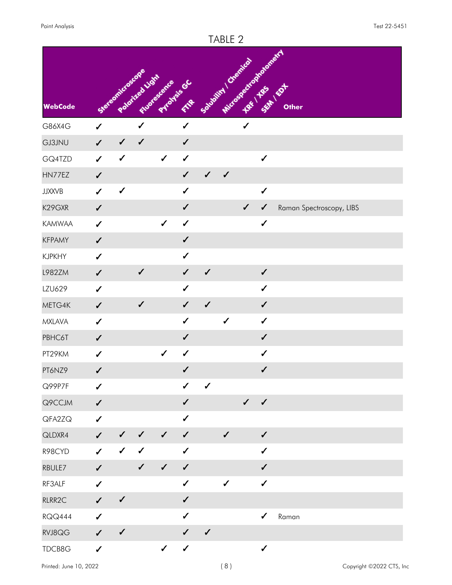|                |              |                  |                |                             |              |                      | TABLE 2      |                        |              |                          |
|----------------|--------------|------------------|----------------|-----------------------------|--------------|----------------------|--------------|------------------------|--------------|--------------------------|
| <b>WebCode</b> |              | Stereomicroscope | Poloited Light | Fluorescence<br>Protisis GC | FAR          | Solvativi / Chemical |              | Microsyaetrapialonair1 |              | <b>Other</b>             |
| G86X4G         | $\checkmark$ |                  | $\checkmark$   |                             | $\checkmark$ |                      |              | $\checkmark$           |              |                          |
| <b>GJ3JNU</b>  | $\checkmark$ | $\checkmark$     | $\checkmark$   |                             | ✔            |                      |              |                        |              |                          |
| GQ4TZD         | $\checkmark$ | $\checkmark$     |                | $\checkmark$                | $\checkmark$ |                      |              |                        | $\checkmark$ |                          |
| HN77EZ         | $\checkmark$ |                  |                |                             | $\checkmark$ | $\checkmark$         | $\checkmark$ |                        |              |                          |
| <b>JJXXVB</b>  | $\checkmark$ | $\checkmark$     |                |                             | ✔            |                      |              |                        | $\checkmark$ |                          |
| K29GXR         | $\checkmark$ |                  |                |                             | $\checkmark$ |                      |              | $\checkmark$           | ✓            | Raman Spectroscopy, LIBS |
| <b>KAMWAA</b>  | $\checkmark$ |                  |                | $\checkmark$                | $\checkmark$ |                      |              |                        | $\checkmark$ |                          |
| <b>KFPAMY</b>  | $\checkmark$ |                  |                |                             | $\checkmark$ |                      |              |                        |              |                          |
| <b>KJPKHY</b>  | $\checkmark$ |                  |                |                             | ✔            |                      |              |                        |              |                          |
| L982ZM         | $\checkmark$ |                  | $\checkmark$   |                             | $\checkmark$ | $\checkmark$         |              |                        | $\checkmark$ |                          |
| LZU629         | $\checkmark$ |                  |                |                             | ✔            |                      |              |                        | ✔            |                          |
| METG4K         | $\checkmark$ |                  | $\checkmark$   |                             | ✔            | $\checkmark$         |              |                        | ✔            |                          |
| <b>MXLAVA</b>  | $\checkmark$ |                  |                |                             | $\checkmark$ |                      | $\checkmark$ |                        | $\checkmark$ |                          |
| PBHC6T         | $\checkmark$ |                  |                |                             | ✔            |                      |              |                        | $\checkmark$ |                          |
| PT29KM         | $\checkmark$ |                  |                | $\checkmark$                | $\checkmark$ |                      |              |                        | $\checkmark$ |                          |
| PT6NZ9         | $\checkmark$ |                  |                |                             | $\checkmark$ |                      |              |                        | $\checkmark$ |                          |
| Q99P7F         | $\checkmark$ |                  |                |                             | $\checkmark$ | $\checkmark$         |              |                        |              |                          |
| Q9CCJM         | $\checkmark$ |                  |                |                             | $\checkmark$ |                      |              | $\checkmark$           | $\checkmark$ |                          |
| QFA2ZQ         | $\checkmark$ |                  |                |                             | $\checkmark$ |                      |              |                        |              |                          |
| QLDXR4         | $\checkmark$ | $\checkmark$     | $\checkmark$   | $\checkmark$                | $\checkmark$ |                      | $\checkmark$ |                        | $\checkmark$ |                          |
| R98CYD         | $\checkmark$ | $\checkmark$     | $\checkmark$   |                             | $\checkmark$ |                      |              |                        | ✔            |                          |
| RBULE7         | $\checkmark$ |                  | $\checkmark$   | $\checkmark$                | $\checkmark$ |                      |              |                        | $\checkmark$ |                          |
| RF3ALF         | $\checkmark$ |                  |                |                             | $\checkmark$ |                      | $\checkmark$ |                        | $\checkmark$ |                          |
| RLRR2C         | $\checkmark$ | $\checkmark$     |                |                             | $\checkmark$ |                      |              |                        |              |                          |
| <b>RQQ444</b>  | $\checkmark$ |                  |                |                             | $\checkmark$ |                      |              |                        | $\checkmark$ | Raman                    |
| RVJ8QG         | $\checkmark$ | $\checkmark$     |                |                             | $\checkmark$ | $\checkmark$         |              |                        |              |                          |
| TDCB8G         | $\checkmark$ |                  |                | $\checkmark$                | $\checkmark$ |                      |              |                        | $\checkmark$ |                          |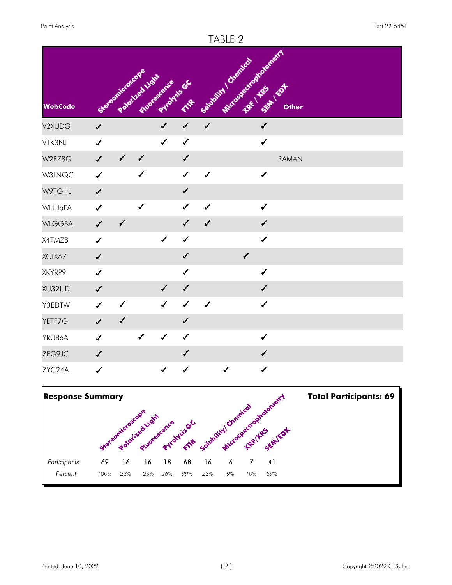

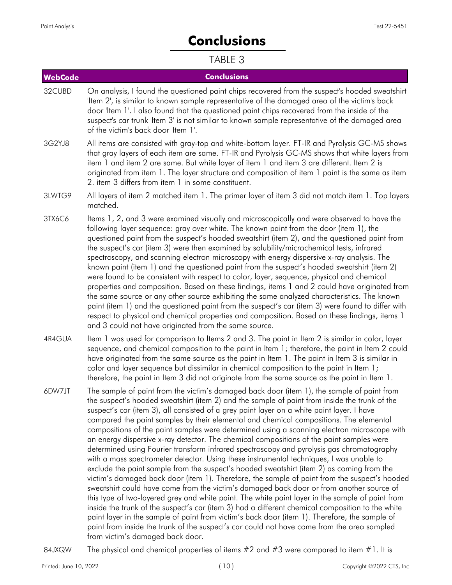# **Conclusions**

## TABLE 3

<span id="page-9-0"></span>

| <b>WebCode</b> | <b>Conclusions</b>                                                                                                                                                                                                                                                                                                                                                                                                                                                                                                                                                                                                                                                                                                                                                                                                                                                                                                                                                                                                                                                                                                                                                                                                                                                                                                                                                                                                                                                                                          |
|----------------|-------------------------------------------------------------------------------------------------------------------------------------------------------------------------------------------------------------------------------------------------------------------------------------------------------------------------------------------------------------------------------------------------------------------------------------------------------------------------------------------------------------------------------------------------------------------------------------------------------------------------------------------------------------------------------------------------------------------------------------------------------------------------------------------------------------------------------------------------------------------------------------------------------------------------------------------------------------------------------------------------------------------------------------------------------------------------------------------------------------------------------------------------------------------------------------------------------------------------------------------------------------------------------------------------------------------------------------------------------------------------------------------------------------------------------------------------------------------------------------------------------------|
| 32CUBD         | On analysis, I found the questioned paint chips recovered from the suspect's hooded sweatshirt<br>'Item 2', is similar to known sample representative of the damaged area of the victim's back<br>door 'Item 1'. I also found that the questioned paint chips recovered from the inside of the<br>suspect's car trunk 'Item 3' is not similar to known sample representative of the damaged area<br>of the victim's back door 'Item 1'.                                                                                                                                                                                                                                                                                                                                                                                                                                                                                                                                                                                                                                                                                                                                                                                                                                                                                                                                                                                                                                                                     |
| 3G2YJ8         | All items are consisted with gray-top and white-bottom layer. FT-IR and Pyrolysis GC-MS shows<br>that gray layers of each item are same. FT-IR and Pyrolysis GC-MS shows that white layers from<br>item 1 and item 2 are same. But white layer of item 1 and item 3 are different. Item 2 is<br>originated from item 1. The layer structure and composition of item 1 paint is the same as item<br>2. item 3 differs from item 1 in some constituent.                                                                                                                                                                                                                                                                                                                                                                                                                                                                                                                                                                                                                                                                                                                                                                                                                                                                                                                                                                                                                                                       |
| 3LWTG9         | All layers of item 2 matched item 1. The primer layer of item 3 did not match item 1. Top layers<br>matched.                                                                                                                                                                                                                                                                                                                                                                                                                                                                                                                                                                                                                                                                                                                                                                                                                                                                                                                                                                                                                                                                                                                                                                                                                                                                                                                                                                                                |
| 3TX6C6         | Items 1, 2, and 3 were examined visually and microscopically and were observed to have the<br>following layer sequence: gray over white. The known paint from the door (item 1), the<br>questioned paint from the suspect's hooded sweatshirt (item 2), and the questioned paint from<br>the suspect's car (item 3) were then examined by solubility/microchemical tests, infrared<br>spectroscopy, and scanning electron microscopy with energy dispersive x-ray analysis. The<br>known paint (item 1) and the questioned paint from the suspect's hooded sweatshirt (item 2)<br>were found to be consistent with respect to color, layer, sequence, physical and chemical<br>properties and composition. Based on these findings, items 1 and 2 could have originated from<br>the same source or any other source exhibiting the same analyzed characteristics. The known<br>paint (item 1) and the questioned paint from the suspect's car (item 3) were found to differ with<br>respect to physical and chemical properties and composition. Based on these findings, items 1<br>and 3 could not have originated from the same source.                                                                                                                                                                                                                                                                                                                                                                  |
| 4R4GUA         | Item 1 was used for comparison to Items 2 and 3. The paint in Item 2 is similar in color, layer<br>sequence, and chemical composition to the paint in Item 1; therefore, the paint in Item 2 could<br>have originated from the same source as the paint in Item 1. The paint in Item 3 is similar in<br>color and layer sequence but dissimilar in chemical composition to the paint in Item 1;<br>therefore, the paint in Item 3 did not originate from the same source as the paint in Item 1.                                                                                                                                                                                                                                                                                                                                                                                                                                                                                                                                                                                                                                                                                                                                                                                                                                                                                                                                                                                                            |
| 6DW7JT         | The sample of paint from the victim's damaged back door (item 1), the sample of paint from<br>the suspect's hooded sweatshirt (item 2) and the sample of paint from inside the trunk of the<br>suspect's car (item 3), all consisted of a grey paint layer on a white paint layer. I have<br>compared the paint samples by their elemental and chemical compositions. The elemental<br>compositions of the paint samples were determined using a scanning electron microscope with<br>an energy dispersive x-ray detector. The chemical compositions of the paint samples were<br>determined using Fourier transform infrared spectroscopy and pyrolysis gas chromatography<br>with a mass spectrometer detector. Using these instrumental techniques, I was unable to<br>exclude the paint sample from the suspect's hooded sweatshirt (item 2) as coming from the<br>victim's damaged back door (item 1). Therefore, the sample of paint from the suspect's hooded<br>sweatshirt could have come from the victim's damaged back door or from another source of<br>this type of two-layered grey and white paint. The white paint layer in the sample of paint from<br>inside the trunk of the suspect's car (item 3) had a different chemical composition to the white<br>paint layer in the sample of paint from victim's back door (item 1). Therefore, the sample of<br>paint from inside the trunk of the suspect's car could not have come from the area sampled<br>from victim's damaged back door. |

84JXQW The physical and chemical properties of items  $#2$  and  $#3$  were compared to item  $#1$ . It is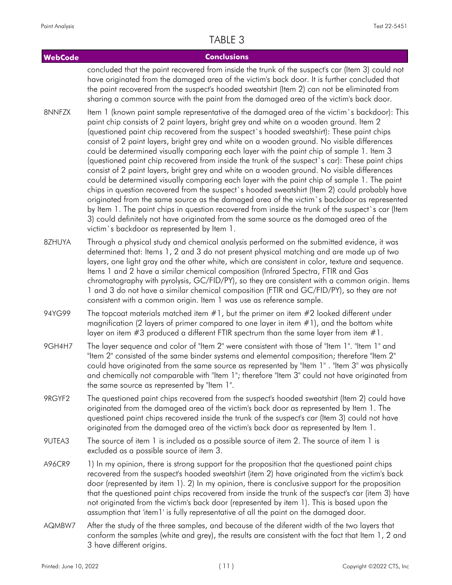| <b>WebCode</b> | <b>Conclusions</b>                                                                                                                                                                                                                                                                                                                                                                                                                                                                                                                                                                                                                                                                                                                                                                                                                                                                                                                                                                                                                                                                                                                                                                                                                 |
|----------------|------------------------------------------------------------------------------------------------------------------------------------------------------------------------------------------------------------------------------------------------------------------------------------------------------------------------------------------------------------------------------------------------------------------------------------------------------------------------------------------------------------------------------------------------------------------------------------------------------------------------------------------------------------------------------------------------------------------------------------------------------------------------------------------------------------------------------------------------------------------------------------------------------------------------------------------------------------------------------------------------------------------------------------------------------------------------------------------------------------------------------------------------------------------------------------------------------------------------------------|
|                | concluded that the paint recovered from inside the trunk of the suspect's car (Item 3) could not<br>have originated from the damaged area of the victim's back door. It is further concluded that<br>the paint recovered from the suspect's hooded sweatshirt (Item 2) can not be eliminated from<br>sharing a common source with the paint from the damaged area of the victim's back door.                                                                                                                                                                                                                                                                                                                                                                                                                                                                                                                                                                                                                                                                                                                                                                                                                                       |
| 8NNFZX         | Item 1 (known paint sample representative of the damaged area of the victim's backdoor): This<br>paint chip consists of 2 paint layers, bright grey and white on a wooden ground. Item 2<br>(questioned paint chip recovered from the suspect's hooded sweatshirt): These paint chips<br>consist of 2 paint layers, bright grey and white on a wooden ground. No visible differences<br>could be determined visually comparing each layer with the paint chip of sample 1. Item 3<br>(questioned paint chip recovered from inside the trunk of the suspect's car): These paint chips<br>consist of 2 paint layers, bright grey and white on a wooden ground. No visible differences<br>could be determined visually comparing each layer with the paint chip of sample 1. The paint<br>chips in question recovered from the suspect's hooded sweatshirt (Item 2) could probably have<br>originated from the same source as the damaged area of the victim's backdoor as represented<br>by Item 1. The paint chips in question recovered from inside the trunk of the suspect's car (Item<br>3) could definitely not have originated from the same source as the damaged area of the<br>victim's backdoor as represented by Item 1. |
| 8ZHUYA         | Through a physical study and chemical analysis performed on the submitted evidence, it was<br>determined that: Items 1, 2 and 3 do not present physical matching and are made up of two<br>layers, one light gray and the other white, which are consistent in color, texture and sequence.<br>Items 1 and 2 have a similar chemical composition (Infrared Spectra, FTIR and Gas<br>chromatography with pyrolysis, GC/FID/PY), so they are consistent with a common origin. Items<br>1 and 3 do not have a similar chemical composition (FTIR and GC/FID/PY), so they are not<br>consistent with a common origin. Item 1 was use as reference sample.                                                                                                                                                                                                                                                                                                                                                                                                                                                                                                                                                                              |
| 94YG99         | The topcoat materials matched item $#1$ , but the primer on item $#2$ looked different under<br>magnification (2 layers of primer compared to one layer in item $#1$ ), and the bottom white<br>layer on item $#3$ produced a different FTIR spectrum than the same layer from item $#1$ .                                                                                                                                                                                                                                                                                                                                                                                                                                                                                                                                                                                                                                                                                                                                                                                                                                                                                                                                         |
| 9GH4H7         | The layer sequence and color of "Item 2" were consistent with those of "Item 1". "Item 1" and<br>"Item 2" consisted of the same binder systems and elemental composition; therefore "Item 2"<br>could have originated from the same source as represented by "Item 1". "Item 3" was physically<br>and chemically not comparable with "Item 1"; therefore "Item 3" could not have originated from<br>the same source as represented by "Item 1".                                                                                                                                                                                                                                                                                                                                                                                                                                                                                                                                                                                                                                                                                                                                                                                    |
| 9RGYF2         | The questioned paint chips recovered from the suspect's hooded sweatshirt (Item 2) could have<br>originated from the damaged area of the victim's back door as represented by Item 1. The<br>questioned paint chips recovered inside the trunk of the suspect's car (Item 3) could not have<br>originated from the damaged area of the victim's back door as represented by Item 1.                                                                                                                                                                                                                                                                                                                                                                                                                                                                                                                                                                                                                                                                                                                                                                                                                                                |
| 9UTEA3         | The source of item 1 is included as a possible source of item 2. The source of item 1 is<br>excluded as a possible source of item 3.                                                                                                                                                                                                                                                                                                                                                                                                                                                                                                                                                                                                                                                                                                                                                                                                                                                                                                                                                                                                                                                                                               |
| A96CR9         | 1) In my opinion, there is strong support for the proposition that the questioned paint chips<br>recovered from the suspect's hooded sweatshirt (item 2) have originated from the victim's back<br>door (represented by item 1). 2) In my opinion, there is conclusive support for the proposition<br>that the questioned paint chips recovered from inside the trunk of the suspect's car (item 3) have<br>not originated from the victim's back door (represented by item 1). This is based upon the<br>assumption that 'item1' is fully representative of all the paint on the damaged door.                                                                                                                                                                                                                                                                                                                                                                                                                                                                                                                                                                                                                                    |
| AQMBW7         | After the study of the three samples, and because of the diferent width of the two layers that<br>conform the samples (white and grey), the results are consistent with the fact that Item 1, 2 and<br>3 have different origins.                                                                                                                                                                                                                                                                                                                                                                                                                                                                                                                                                                                                                                                                                                                                                                                                                                                                                                                                                                                                   |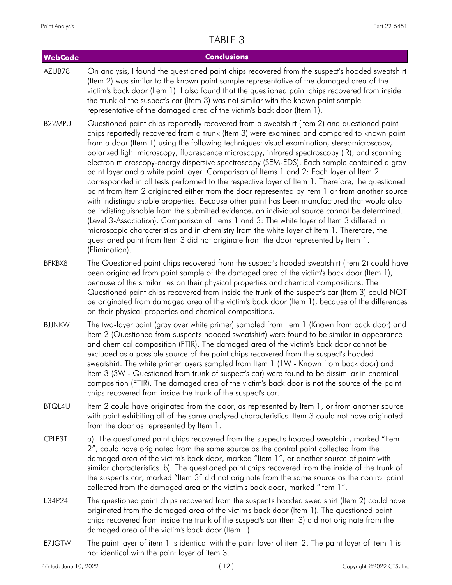| <b>WebCode</b>         |                                                  | <b>Conclusions</b>                                                                                                                                                                                                                                                                                                                                                                                                                                                                                                                                                     |                                                                                                                                                                                                                                                                                                                                                                                                                                                                                                                                                                                                                                                                                                 |
|------------------------|--------------------------------------------------|------------------------------------------------------------------------------------------------------------------------------------------------------------------------------------------------------------------------------------------------------------------------------------------------------------------------------------------------------------------------------------------------------------------------------------------------------------------------------------------------------------------------------------------------------------------------|-------------------------------------------------------------------------------------------------------------------------------------------------------------------------------------------------------------------------------------------------------------------------------------------------------------------------------------------------------------------------------------------------------------------------------------------------------------------------------------------------------------------------------------------------------------------------------------------------------------------------------------------------------------------------------------------------|
| AZUB78                 |                                                  | (Item 2) was similar to the known paint sample representative of the damaged area of the<br>the trunk of the suspect's car (Item 3) was not similar with the known paint sample<br>representative of the damaged area of the victim's back door (Item 1).                                                                                                                                                                                                                                                                                                              | On analysis, I found the questioned paint chips recovered from the suspect's hooded sweatshirt<br>victim's back door (Item 1). I also found that the questioned paint chips recovered from inside                                                                                                                                                                                                                                                                                                                                                                                                                                                                                               |
| B22MPU                 | (Elimination).                                   | Questioned paint chips reportedly recovered from a sweatshirt (Item 2) and questioned paint<br>from a door (Item 1) using the following techniques: visual examination, stereomicroscopy,<br>paint layer and a white paint layer. Comparison of Items 1 and 2: Each layer of Item 2<br>(Level 3-Association). Comparison of Items 1 and 3: The white layer of Item 3 differed in<br>microscopic characteristics and in chemistry from the white layer of Item 1. Therefore, the<br>questioned paint from Item 3 did not originate from the door represented by Item 1. | chips reportedly recovered from a trunk (Item 3) were examined and compared to known paint<br>polarized light microscopy, fluorescence microscopy, infrared spectroscopy (IR), and scanning<br>electron microscopy-energy dispersive spectroscopy (SEM-EDS). Each sample contained a gray<br>corresponded in all tests performed to the respective layer of Item 1. Therefore, the questioned<br>paint from Item 2 originated either from the door represented by Item 1 or from another source<br>with indistinguishable properties. Because other paint has been manufactured that would also<br>be indistinguishable from the submitted evidence, an individual source cannot be determined. |
| BFKBX8                 |                                                  | been originated from paint sample of the damaged area of the victim's back door (Item 1),<br>because of the similarities on their physical properties and chemical compositions. The<br>on their physical properties and chemical compositions.                                                                                                                                                                                                                                                                                                                        | The Questioned paint chips recovered from the suspect's hooded sweatshirt (Item 2) could have<br>Questioned paint chips recovered from inside the trunk of the suspect's car (Item 3) could NOT<br>be originated from damaged area of the victim's back door (Item 1), because of the differences                                                                                                                                                                                                                                                                                                                                                                                               |
| <b>BJJNKW</b>          |                                                  | and chemical composition (FTIR). The damaged area of the victim's back door cannot be<br>excluded as a possible source of the paint chips recovered from the suspect's hooded<br>sweatshirt. The white primer layers sampled from Item 1 (1W - Known from back door) and<br>Item 3 (3W - Questioned from trunk of suspect's car) were found to be dissimilar in chemical<br>chips recovered from inside the trunk of the suspect's car.                                                                                                                                | The two-layer paint (gray over white primer) sampled from Item 1 (Known from back door) and<br>Item 2 (Questioned from suspect's hooded sweatshirt) were found to be similar in appearance<br>composition (FTIR). The damaged area of the victim's back door is not the source of the paint                                                                                                                                                                                                                                                                                                                                                                                                     |
| BTQL4U                 | from the door as represented by Item 1.          |                                                                                                                                                                                                                                                                                                                                                                                                                                                                                                                                                                        | Item 2 could have originated from the door, as represented by Item 1, or from another source<br>with paint exhibiting all of the same analyzed characteristics. Item 3 could not have originated                                                                                                                                                                                                                                                                                                                                                                                                                                                                                                |
| CPLF3T                 |                                                  | a). The questioned paint chips recovered from the suspect's hooded sweatshirt, marked "Item<br>2", could have originated from the same source as the control paint collected from the<br>damaged area of the victim's back door, marked "Item 1", or another source of paint with<br>collected from the damaged area of the victim's back door, marked "Item 1".                                                                                                                                                                                                       | similar characteristics. b). The questioned paint chips recovered from the inside of the trunk of<br>the suspect's car, marked "Item 3" did not originate from the same source as the control paint                                                                                                                                                                                                                                                                                                                                                                                                                                                                                             |
| E34P24                 | damaged area of the victim's back door (Item 1). | originated from the damaged area of the victim's back door (Item 1). The questioned paint<br>chips recovered from inside the trunk of the suspect's car (Item 3) did not originate from the                                                                                                                                                                                                                                                                                                                                                                            | The questioned paint chips recovered from the suspect's hooded sweatshirt (Item 2) could have                                                                                                                                                                                                                                                                                                                                                                                                                                                                                                                                                                                                   |
| E7JGTW                 | not identical with the paint layer of item 3.    | The paint layer of item 1 is identical with the paint layer of item 2. The paint layer of item 1 is                                                                                                                                                                                                                                                                                                                                                                                                                                                                    |                                                                                                                                                                                                                                                                                                                                                                                                                                                                                                                                                                                                                                                                                                 |
| Printed: June 10, 2022 |                                                  | (12)                                                                                                                                                                                                                                                                                                                                                                                                                                                                                                                                                                   | Copyright ©2022 CTS, Inc                                                                                                                                                                                                                                                                                                                                                                                                                                                                                                                                                                                                                                                                        |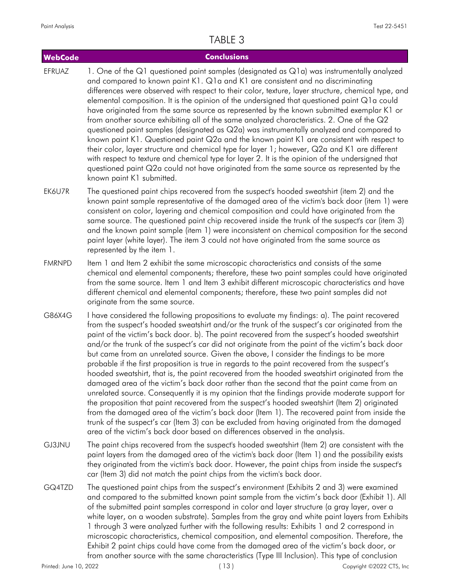| <b>WebCode</b> | <b>Conclusions</b>                                                                                                                                                                                                                                                                                                                                                                                                                                                                                                                                                                                                                                                                                                                                                                                                                                                                                                                                                                                                                                                                                                                                                                                                                                                                  |
|----------------|-------------------------------------------------------------------------------------------------------------------------------------------------------------------------------------------------------------------------------------------------------------------------------------------------------------------------------------------------------------------------------------------------------------------------------------------------------------------------------------------------------------------------------------------------------------------------------------------------------------------------------------------------------------------------------------------------------------------------------------------------------------------------------------------------------------------------------------------------------------------------------------------------------------------------------------------------------------------------------------------------------------------------------------------------------------------------------------------------------------------------------------------------------------------------------------------------------------------------------------------------------------------------------------|
| EFRUAZ         | 1. One of the Q1 questioned paint samples (designated as Q1a) was instrumentally analyzed<br>and compared to known paint K1. Q1a and K1 are consistent and no discriminating<br>differences were observed with respect to their color, texture, layer structure, chemical type, and<br>elemental composition. It is the opinion of the undersigned that questioned paint Q1a could<br>have originated from the same source as represented by the known submitted exemplar K1 or<br>from another source exhibiting all of the same analyzed characteristics. 2. One of the Q2<br>questioned paint samples (designated as Q2a) was instrumentally analyzed and compared to<br>known paint K1. Questioned paint Q2a and the known paint K1 are consistent with respect to<br>their color, layer structure and chemical type for layer 1; however, Q2a and K1 are different<br>with respect to texture and chemical type for layer 2. It is the opinion of the undersigned that<br>questioned paint Q2a could not have originated from the same source as represented by the<br>known paint K1 submitted.                                                                                                                                                                               |
| EK6U7R         | The questioned paint chips recovered from the suspect's hooded sweatshirt (item 2) and the<br>known paint sample representative of the damaged area of the victim's back door (item 1) were<br>consistent on color, layering and chemical composition and could have originated from the<br>same source. The questioned paint chip recovered inside the trunk of the suspect's car (item 3)<br>and the known paint sample (item 1) were inconsistent on chemical composition for the second<br>paint layer (white layer). The item 3 could not have originated from the same source as<br>represented by the item 1.                                                                                                                                                                                                                                                                                                                                                                                                                                                                                                                                                                                                                                                                |
| <b>FMRNPD</b>  | Item 1 and Item 2 exhibit the same microscopic characteristics and consists of the same<br>chemical and elemental components; therefore, these two paint samples could have originated<br>from the same source. Item 1 and Item 3 exhibit different microscopic characteristics and have<br>different chemical and elemental components; therefore, these two paint samples did not<br>originate from the same source.                                                                                                                                                                                                                                                                                                                                                                                                                                                                                                                                                                                                                                                                                                                                                                                                                                                              |
| G86X4G         | I have considered the following propositions to evaluate my findings: a). The paint recovered<br>from the suspect's hooded sweatshirt and/or the trunk of the suspect's car originated from the<br>paint of the victim's back door. b). The paint recovered from the suspect's hooded sweatshirt<br>and/or the trunk of the suspect's car did not originate from the paint of the victim's back door<br>but came from an unrelated source. Given the above, I consider the findings to be more<br>probable if the first proposition is true in regards to the paint recovered from the suspect's<br>hooded sweatshirt, that is, the paint recovered from the hooded sweatshirt originated from the<br>damaged area of the victim's back door rather than the second that the paint came from an<br>unrelated source. Consequently it is my opinion that the findings provide moderate support for<br>the proposition that paint recovered from the suspect's hooded sweatshirt (Item 2) originated<br>from the damaged area of the victim's back door (Item 1). The recovered paint from inside the<br>trunk of the suspect's car (Item 3) can be excluded from having originated from the damaged<br>area of the victim's back door based on differences observed in the analysis. |
| GJ3JNU         | The paint chips recovered from the suspect's hooded sweatshirt (Item 2) are consistent with the<br>paint layers from the damaged area of the victim's back door (Item 1) and the possibility exists<br>they originated from the victim's back door. However, the paint chips from inside the suspect's<br>car (Item 3) did not match the paint chips from the victim's back door.                                                                                                                                                                                                                                                                                                                                                                                                                                                                                                                                                                                                                                                                                                                                                                                                                                                                                                   |
| GQ4TZD         | The questioned paint chips from the suspect's environment (Exhibits 2 and 3) were examined<br>and compared to the submitted known paint sample from the victim's back door (Exhibit 1). All<br>of the submitted paint samples correspond in color and layer structure (a gray layer, over a<br>white layer, on a wooden substrate). Samples from the gray and white paint layers from Exhibits<br>1 through 3 were analyzed further with the following results: Exhibits 1 and 2 correspond in<br>microscopic characteristics, chemical composition, and elemental composition. Therefore, the<br>Exhibit 2 paint chips could have come from the damaged area of the victim's back door, or<br>from another source with the same characteristics (Type III Inclusion). This type of conclusion                                                                                                                                                                                                                                                                                                                                                                                                                                                                                      |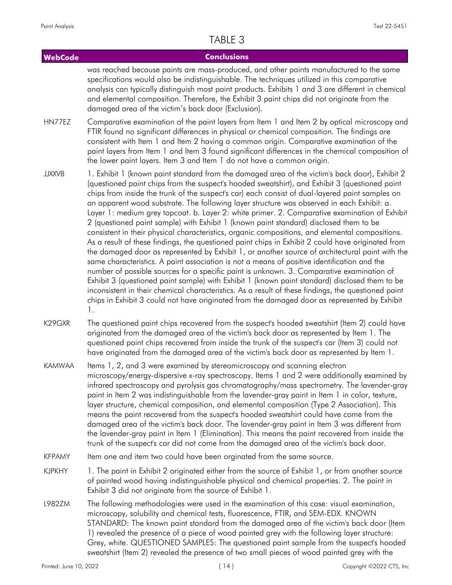#### **WebCode Conclusions** was reached because paints are mass-produced, and other paints manufactured to the same specifications would also be indistinguishable. The techniques utilized in this comparative analysis can typically distinguish most paint products. Exhibits 1 and 3 are different in chemical and elemental composition. Therefore, the Exhibit 3 paint chips did not originate from the damaged area of the victim's back door (Exclusion). Comparative examination of the paint layers from Item 1 and Item 2 by optical microscopy and FTIR found no significant differences in physical or chemical composition. The findings are consistent with Item 1 and Item 2 having a common origin. Comparative examination of the paint layers from Item 1 and Item 3 found significant differences in the chemical composition of the lower paint layers. Item 3 and Item 1 do not have a common origin. HN77EZ 1. Exhibit 1 (known paint standard from the damaged area of the victim's back door), Exhibit 2 (questioned paint chips from the suspect's hooded sweatshirt), and Exhibit 3 (questioned paint chips from inside the trunk of the suspect's car) each consist of dual-layered paint samples on an apparent wood substrate. The following layer structure was observed in each Exhibit: a. Layer 1: medium grey topcoat. b. Layer 2: white primer. 2. Comparative examination of Exhibit 2 (questioned paint sample) with Exhibit 1 (known paint standard) disclosed them to be consistent in their physical characteristics, organic compositions, and elemental compositions. As a result of these findings, the questioned paint chips in Exhibit 2 could have originated from the damaged door as represented by Exhibit 1, or another source of architectural paint with the same characteristics. A paint association is not a means of positive identification and the number of possible sources for a specific paint is unknown. 3. Comparative examination of Exhibit 3 (questioned paint sample) with Exhibit 1 (known paint standard) disclosed them to be inconsistent in their chemical characteristics. As a result of these findings, the questioned paint chips in Exhibit 3 could not have originated from the damaged door as represented by Exhibit 1. JJXXVB The questioned paint chips recovered from the suspect's hooded sweatshirt (Item 2) could have originated from the damaged area of the victim's back door as represented by Item 1. The questioned paint chips recovered from inside the trunk of the suspect's car (Item 3) could not have originated from the damaged area of the victim's back door as represented by Item 1. K29GXR Items 1, 2, and 3 were examined by stereomicroscopy and scanning electron microscopy/energy-dispersive x-ray spectroscopy. Items 1 and 2 were additionally examined by infrared spectroscopy and pyrolysis gas chromatography/mass spectrometry. The lavender-gray paint in Item 2 was indistinguishable from the lavender-gray paint in Item 1 in color, texture, layer structure, chemical composition, and elemental composition (Type 2 Association). This means the paint recovered from the suspect's hooded sweatshirt could have come from the damaged area of the victim's back door. The lavender-gray paint in Item 3 was different from the lavender-gray paint in Item 1 (Elimination). This means the paint recovered from inside the trunk of the suspect's car did not come from the damaged area of the victim's back door. KAMWAA

- KFPAMY Item one and item two could have been orginated from the same source.
- 1. The paint in Exhibit 2 originated either from the source of Exhibit 1, or from another source of painted wood having indistinguishable physical and chemical properties. 2. The paint in Exhibit 3 did not originate from the source of Exhibit 1. KJPKHY
- The following methodologies were used in the examination of this case: visual examination, microscopy, solubility and chemical tests, fluorescence, FTIR, and SEM-EDX. KNOWN STANDARD: The known paint standard from the damaged area of the victim's back door (Item 1) revealed the presence of a piece of wood painted grey with the following layer structure: Grey, white. QUESTIONED SAMPLES: The questioned paint sample from the suspect's hooded sweatshirt (Item 2) revealed the presence of two small pieces of wood painted grey with the L982ZM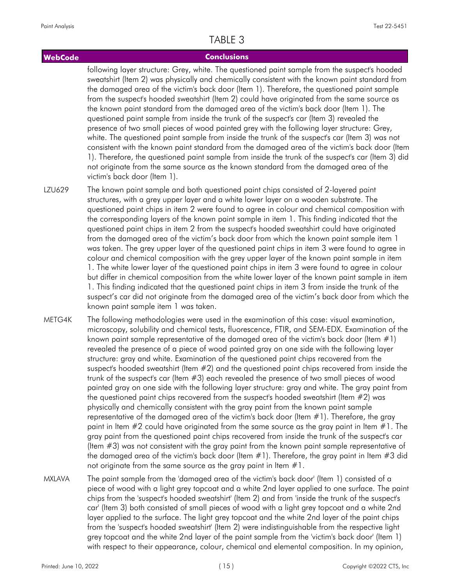#### **WebCode Conclusions**

following layer structure: Grey, white. The questioned paint sample from the suspect's hooded sweatshirt (Item 2) was physically and chemically consistent with the known paint standard from the damaged area of the victim's back door (Item 1). Therefore, the questioned paint sample from the suspect's hooded sweatshirt (Item 2) could have originated from the same source as the known paint standard from the damaged area of the victim's back door (Item 1). The questioned paint sample from inside the trunk of the suspect's car (Item 3) revealed the presence of two small pieces of wood painted grey with the following layer structure: Grey, white. The questioned paint sample from inside the trunk of the suspect's car (Item 3) was not consistent with the known paint standard from the damaged area of the victim's back door (Item 1). Therefore, the questioned paint sample from inside the trunk of the suspect's car (Item 3) did not originate from the same source as the known standard from the damaged area of the victim's back door (Item 1).

- The known paint sample and both questioned paint chips consisted of 2-layered paint structures, with a grey upper layer and a white lower layer on a wooden substrate. The questioned paint chips in item 2 were found to agree in colour and chemical composition with the corresponding layers of the known paint sample in item 1. This finding indicated that the questioned paint chips in item 2 from the suspect's hooded sweatshirt could have originated from the damaged area of the victim's back door from which the known paint sample item 1 was taken. The grey upper layer of the questioned paint chips in item 3 were found to agree in colour and chemical composition with the grey upper layer of the known paint sample in item 1. The white lower layer of the questioned paint chips in item 3 were found to agree in colour but differ in chemical composition from the white lower layer of the known paint sample in item 1. This finding indicated that the questioned paint chips in item 3 from inside the trunk of the suspect's car did not originate from the damaged area of the victim's back door from which the known paint sample item 1 was taken. LZU629
- The following methodologies were used in the examination of this case: visual examination, microscopy, solubility and chemical tests, fluorescence, FTIR, and SEM-EDX. Examination of the known paint sample representative of the damaged area of the victim's back door (Item #1) revealed the presence of a piece of wood painted gray on one side with the following layer structure: gray and white. Examination of the questioned paint chips recovered from the suspect's hooded sweatshirt (Item #2) and the questioned paint chips recovered from inside the trunk of the suspect's car (Item #3) each revealed the presence of two small pieces of wood painted gray on one side with the following layer structure: gray and white. The gray paint from the questioned paint chips recovered from the suspect's hooded sweatshirt (Item #2) was physically and chemically consistent with the gray paint from the known paint sample representative of the damaged area of the victim's back door (Item #1). Therefore, the gray paint in Item  $#2$  could have originated from the same source as the gray paint in Item  $#1$ . The gray paint from the questioned paint chips recovered from inside the trunk of the suspect's car (Item #3) was not consistent with the gray paint from the known paint sample representative of the damaged area of the victim's back door (Item  $\#1$ ). Therefore, the gray paint in Item  $\#3$  did not originate from the same source as the gray paint in Item  $#1$ . METG4K
- The paint sample from the 'damaged area of the victim's back door' (Item 1) consisted of a piece of wood with a light grey topcoat and a white 2nd layer applied to one surface. The paint chips from the 'suspect's hooded sweatshirt' (Item 2) and from 'inside the trunk of the suspect's car' (Item 3) both consisted of small pieces of wood with a light grey topcoat and a white 2nd layer applied to the surface. The light grey topcoat and the white 2nd layer of the paint chips from the 'suspect's hooded sweatshirt' (Item 2) were indistinguishable from the respective light grey topcoat and the white 2nd layer of the paint sample from the 'victim's back door' (Item 1) with respect to their appearance, colour, chemical and elemental composition. In my opinion, MXLAVA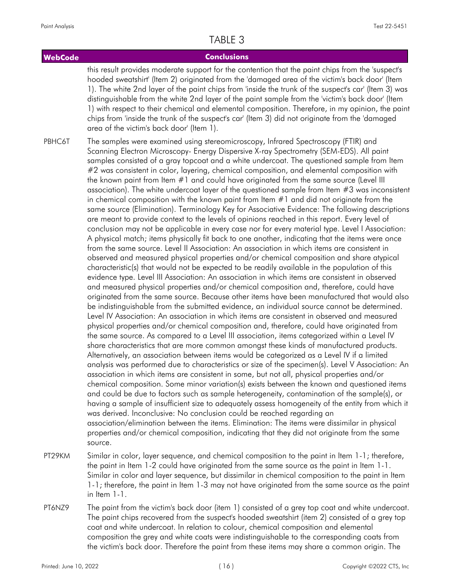#### **WebCode Conclusions** this result provides moderate support for the contention that the paint chips from the 'suspect's hooded sweatshirt' (Item 2) originated from the 'damaged area of the victim's back door' (Item 1). The white 2nd layer of the paint chips from 'inside the trunk of the suspect's car' (Item 3) was distinguishable from the white 2nd layer of the paint sample from the 'victim's back door' (Item 1) with respect to their chemical and elemental composition. Therefore, in my opinion, the paint chips from 'inside the trunk of the suspect's car' (Item 3) did not originate from the 'damaged area of the victim's back door' (Item 1). The samples were examined using stereomicroscopy, Infrared Spectroscopy (FTIR) and Scanning Electron Microscopy- Energy Dispersive X-ray Spectrometry (SEM-EDS). All paint samples consisted of a gray topcoat and a white undercoat. The questioned sample from Item #2 was consistent in color, layering, chemical composition, and elemental composition with the known paint from Item #1 and could have originated from the same source (Level III association). The white undercoat layer of the questioned sample from Item #3 was inconsistent in chemical composition with the known paint from Item #1 and did not originate from the same source (Elimination). Terminology Key for Associative Evidence: The following descriptions are meant to provide context to the levels of opinions reached in this report. Every level of conclusion may not be applicable in every case nor for every material type. Level I Association: A physical match; items physically fit back to one another, indicating that the items were once from the same source. Level II Association: An association in which items are consistent in observed and measured physical properties and/or chemical composition and share atypical characteristic(s) that would not be expected to be readily available in the population of this evidence type. Level III Association: An association in which items are consistent in observed and measured physical properties and/or chemical composition and, therefore, could have originated from the same source. Because other items have been manufactured that would also be indistinguishable from the submitted evidence, an individual source cannot be determined. Level IV Association: An association in which items are consistent in observed and measured physical properties and/or chemical composition and, therefore, could have originated from the same source. As compared to a Level III association, items categorized within a Level IV share characteristics that are more common amongst these kinds of manufactured products. Alternatively, an association between items would be categorized as a Level IV if a limited analysis was performed due to characteristics or size of the specimen(s). Level V Association: An association in which items are consistent in some, but not all, physical properties and/or chemical composition. Some minor variation(s) exists between the known and questioned items and could be due to factors such as sample heterogeneity, contamination of the sample(s), or having a sample of insufficient size to adequately assess homogeneity of the entity from which it was derived. Inconclusive: No conclusion could be reached regarding an association/elimination between the items. Elimination: The items were dissimilar in physical properties and/or chemical composition, indicating that they did not originate from the same source. PBHC6T

- Similar in color, layer sequence, and chemical composition to the paint in Item 1-1; therefore, the paint in Item 1-2 could have originated from the same source as the paint in Item 1-1. Similar in color and layer sequence, but dissimilar in chemical composition to the paint in Item 1-1; therefore, the paint in Item 1-3 may not have originated from the same source as the paint in Item 1-1. PT29KM
- The paint from the victim's back door (item 1) consisted of a grey top coat and white undercoat. The paint chips recovered from the suspect's hooded sweatshirt (item 2) consisted of a grey top coat and white undercoat. In relation to colour, chemical composition and elemental composition the grey and white coats were indistinguishable to the corresponding coats from the victim's back door. Therefore the paint from these items may share a common origin. The PT6NZ9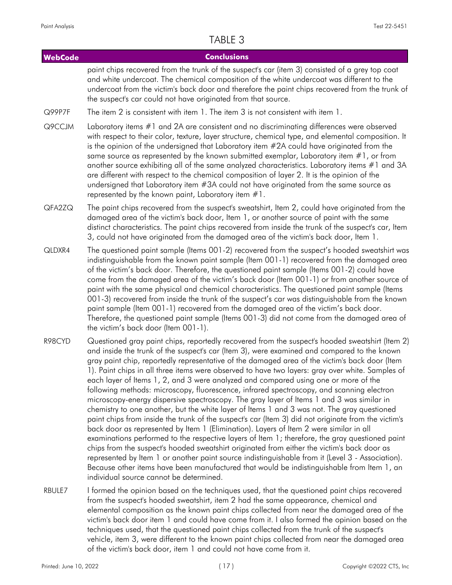| <b>WebCode</b> | <b>Conclusions</b>                                                                                                                                                                                                                                                                                                                                                                                                                                                                                                                                                                                                                                                                                                                                                                                                                                                                                                                                                                                                                                                                                                                                                                                                                                                                                                                                                                                                                   |
|----------------|--------------------------------------------------------------------------------------------------------------------------------------------------------------------------------------------------------------------------------------------------------------------------------------------------------------------------------------------------------------------------------------------------------------------------------------------------------------------------------------------------------------------------------------------------------------------------------------------------------------------------------------------------------------------------------------------------------------------------------------------------------------------------------------------------------------------------------------------------------------------------------------------------------------------------------------------------------------------------------------------------------------------------------------------------------------------------------------------------------------------------------------------------------------------------------------------------------------------------------------------------------------------------------------------------------------------------------------------------------------------------------------------------------------------------------------|
|                | paint chips recovered from the trunk of the suspect's car (item 3) consisted of a grey top coat<br>and white undercoat. The chemical composition of the white undercoat was different to the<br>undercoat from the victim's back door and therefore the paint chips recovered from the trunk of<br>the suspect's car could not have originated from that source.                                                                                                                                                                                                                                                                                                                                                                                                                                                                                                                                                                                                                                                                                                                                                                                                                                                                                                                                                                                                                                                                     |
| Q99P7F         | The item 2 is consistent with item 1. The item 3 is not consistent with item 1.                                                                                                                                                                                                                                                                                                                                                                                                                                                                                                                                                                                                                                                                                                                                                                                                                                                                                                                                                                                                                                                                                                                                                                                                                                                                                                                                                      |
| Q9CCJM         | Laboratory items #1 and 2A are consistent and no discriminating differences were observed<br>with respect to their color, texture, layer structure, chemical type, and elemental composition. It<br>is the opinion of the undersigned that Laboratory item #2A could have originated from the<br>same source as represented by the known submitted exemplar, Laboratory item $#1$ , or from<br>another source exhibiting all of the same analyzed characteristics. Laboratory items #1 and 3A<br>are different with respect to the chemical composition of layer 2. It is the opinion of the<br>undersigned that Laboratory item #3A could not have originated from the same source as<br>represented by the known paint, Laboratory item $#1$ .                                                                                                                                                                                                                                                                                                                                                                                                                                                                                                                                                                                                                                                                                     |
| QFA2ZQ         | The paint chips recovered from the suspect's sweatshirt, Item 2, could have originated from the<br>damaged area of the victim's back door, Item 1, or another source of paint with the same<br>distinct characteristics. The paint chips recovered from inside the trunk of the suspect's car, Item<br>3, could not have originated from the damaged area of the victim's back door, Item 1.                                                                                                                                                                                                                                                                                                                                                                                                                                                                                                                                                                                                                                                                                                                                                                                                                                                                                                                                                                                                                                         |
| QLDXR4         | The questioned paint sample (Items 001-2) recovered from the suspect's hooded sweatshirt was<br>indistinguishable from the known paint sample (Item 001-1) recovered from the damaged area<br>of the victim's back door. Therefore, the questioned paint sample (Items 001-2) could have<br>come from the damaged area of the victim's back door (Item 001-1) or from another source of<br>paint with the same physical and chemical characteristics. The questioned paint sample (Items<br>001-3) recovered from inside the trunk of the suspect's car was distinguishable from the known<br>paint sample (Item 001-1) recovered from the damaged area of the victim's back door.<br>Therefore, the questioned paint sample (Items 001-3) did not come from the damaged area of<br>the victim's back door (Item 001-1).                                                                                                                                                                                                                                                                                                                                                                                                                                                                                                                                                                                                             |
| R98CYD         | Questioned gray paint chips, reportedly recovered from the suspect's hooded sweatshirt (Item 2)<br>and inside the trunk of the suspect's car (Item 3), were examined and compared to the known<br>gray paint chip, reportedly representative of the damaged area of the victim's back door (Item<br>1). Paint chips in all three items were observed to have two layers: gray over white. Samples of<br>each layer of Items 1, 2, and 3 were analyzed and compared using one or more of the<br>following methods: microscopy, fluorescence, infrared spectroscopy, and scanning electron<br>microscopy-energy dispersive spectroscopy. The gray layer of Items 1 and 3 was similar in<br>chemistry to one another, but the white layer of Items 1 and 3 was not. The gray questioned<br>paint chips from inside the trunk of the suspect's car (Item 3) did not originate from the victim's<br>back door as represented by Item 1 (Elimination). Layers of Item 2 were similar in all<br>examinations performed to the respective layers of Item 1; therefore, the gray questioned paint<br>chips from the suspect's hooded sweatshirt originated from either the victim's back door as<br>represented by Item 1 or another paint source indistinguishable from it (Level 3 - Association).<br>Because other items have been manufactured that would be indistinguishable from Item 1, an<br>individual source cannot be determined. |
| RBULE7         | I formed the opinion based on the techniques used, that the questioned paint chips recovered<br>from the surport's booded sweatshirt, item 2 had the same appearance, chemical and                                                                                                                                                                                                                                                                                                                                                                                                                                                                                                                                                                                                                                                                                                                                                                                                                                                                                                                                                                                                                                                                                                                                                                                                                                                   |

from the suspect's hooded sweatshirt, item 2 had the same appearance, chemical and elemental composition as the known paint chips collected from near the damaged area of the victim's back door item 1 and could have come from it. I also formed the opinion based on the techniques used, that the questioned paint chips collected from the trunk of the suspect's vehicle, item 3, were different to the known paint chips collected from near the damaged area of the victim's back door, item 1 and could not have come from it.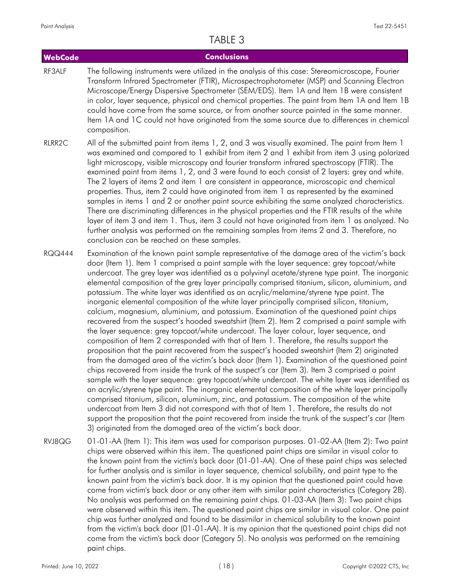#### **WebCode Conclusions** The following instruments were utilized in the analysis of this case: Stereomicroscope, Fourier Transform Infrared Spectrometer (FTIR), Microspectrophotometer (MSP) and Scanning Electron Microscope/Energy Dispersive Spectrometer (SEM/EDS). Item 1A and Item 1B were consistent in color, layer sequence, physical and chemical properties. The paint from Item 1A and Item 1B could have come from the same source, or from another source painted in the same manner. Item 1A and 1C could not have originated from the same source due to differences in chemical composition. RF3ALF

- All of the submitted paint from items 1, 2, and 3 was visually examined. The paint from Item 1 was examined and compared to 1 exhibit from item 2 and 1 exhibit from item 3 using polarized light microscopy, visible microscopy and fourier transform infrared spectroscopy (FTIR). The examined paint from items 1, 2, and 3 were found to each consist of 2 layers: grey and white. The 2 layers of items 2 and item 1 are consistent in appearance, microscopic and chemical properties. Thus, item 2 could have originated from item 1 as represented by the examined samples in items 1 and 2 or another paint source exhibiting the same analyzed characteristics. There are discriminating differences in the physical properties and the FTIR results of the white layer of item 3 and item 1. Thus, item 3 could not have originated from item 1 as analyzed. No further analysis was performed on the remaining samples from items 2 and 3. Therefore, no conclusion can be reached on these samples. RIRR<sub>2C</sub>
- Examination of the known paint sample representative of the damage area of the victim's back door (Item 1). Item 1 comprised a paint sample with the layer sequence: grey topcoat/white undercoat. The grey layer was identified as a polyvinyl acetate/styrene type paint. The inorganic elemental composition of the grey layer principally comprised titanium, silicon, aluminium, and potassium. The white layer was identified as an acrylic/melamine/styrene type paint. The inorganic elemental composition of the white layer principally comprised silicon, titanium, calcium, magnesium, aluminium, and potassium. Examination of the questioned paint chips recovered from the suspect's hooded sweatshirt (Item 2). Item 2 comprised a paint sample with the layer sequence: grey topcoat/white undercoat. The layer colour, layer sequence, and composition of Item 2 corresponded with that of Item 1. Therefore, the results support the proposition that the paint recovered from the suspect's hooded sweatshirt (Item 2) originated from the damaged area of the victim's back door (Item 1). Examination of the questioned paint chips recovered from inside the trunk of the suspect's car (Item 3). Item 3 comprised a paint sample with the layer sequence: grey topcoat/white undercoat. The white layer was identified as an acrylic/styrene type paint. The inorganic elemental composition of the white layer principally comprised titanium, silicon, aluminium, zinc, and potassium. The composition of the white undercoat from Item 3 did not correspond with that of Item 1. Therefore, the results do not support the proposition that the paint recovered from inside the trunk of the suspect's car (Item 3) originated from the damaged area of the victim's back door. RQQ444
- 01-01-AA (Item 1): This item was used for comparison purposes. 01-02-AA (Item 2): Two paint chips were observed within this item. The questioned paint chips are similar in visual color to the known paint from the victim's back door (01-01-AA). One of these paint chips was selected for further analysis and is similar in layer sequence, chemical solubility, and paint type to the known paint from the victim's back door. It is my opinion that the questioned paint could have come from victim's back door or any other item with similar paint characteristics (Category 2B). No analysis was performed on the remaining paint chips. 01-03-AA (Item 3): Two paint chips were observed within this item. The questioned paint chips are similar in visual color. One paint chip was further analyzed and found to be dissimilar in chemical solubility to the known paint from the victim's back door (01-01-AA). It is my opinion that the questioned paint chips did not come from the victim's back door (Category 5). No analysis was performed on the remaining paint chips. RVJ8QG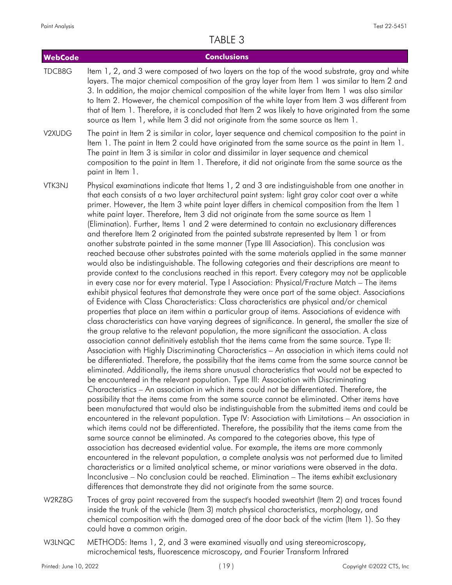| <b>WebCode</b> | <b>Conclusions</b>                                                                                                                                                                                                                                                                                                                                                                                                                                                                                                                                                                                                                                                                                                                                                                                                                                                                                                                                                                                                                                                                                                                                                                                                                                                                                                                                                                                                                                                                                                                                                                                                                                                                                                                                                                                                                                                                                                                                                                                                                                                                                                                                                                                                                                                                                                                                                                                                                                                                                                                                                                                                                                                                                                                                                                                                                                                                                                                                                                                                                                                                                                                                                         |
|----------------|----------------------------------------------------------------------------------------------------------------------------------------------------------------------------------------------------------------------------------------------------------------------------------------------------------------------------------------------------------------------------------------------------------------------------------------------------------------------------------------------------------------------------------------------------------------------------------------------------------------------------------------------------------------------------------------------------------------------------------------------------------------------------------------------------------------------------------------------------------------------------------------------------------------------------------------------------------------------------------------------------------------------------------------------------------------------------------------------------------------------------------------------------------------------------------------------------------------------------------------------------------------------------------------------------------------------------------------------------------------------------------------------------------------------------------------------------------------------------------------------------------------------------------------------------------------------------------------------------------------------------------------------------------------------------------------------------------------------------------------------------------------------------------------------------------------------------------------------------------------------------------------------------------------------------------------------------------------------------------------------------------------------------------------------------------------------------------------------------------------------------------------------------------------------------------------------------------------------------------------------------------------------------------------------------------------------------------------------------------------------------------------------------------------------------------------------------------------------------------------------------------------------------------------------------------------------------------------------------------------------------------------------------------------------------------------------------------------------------------------------------------------------------------------------------------------------------------------------------------------------------------------------------------------------------------------------------------------------------------------------------------------------------------------------------------------------------------------------------------------------------------------------------------------------------|
| TDCB8G         | Item 1, 2, and 3 were composed of two layers on the top of the wood substrate, gray and white<br>layers. The major chemical composition of the gray layer from Item 1 was similar to Item 2 and<br>3. In addition, the major chemical composition of the white layer from Item 1 was also similar<br>to Item 2. However, the chemical composition of the white layer from Item 3 was different from<br>that of Item 1. Therefore, it is concluded that Item 2 was likely to have originated from the same<br>source as Item 1, while Item 3 did not originate from the same source as Item 1.                                                                                                                                                                                                                                                                                                                                                                                                                                                                                                                                                                                                                                                                                                                                                                                                                                                                                                                                                                                                                                                                                                                                                                                                                                                                                                                                                                                                                                                                                                                                                                                                                                                                                                                                                                                                                                                                                                                                                                                                                                                                                                                                                                                                                                                                                                                                                                                                                                                                                                                                                                              |
| V2XUDG         | The paint in Item 2 is similar in color, layer sequence and chemical composition to the paint in<br>Item 1. The paint in Item 2 could have originated from the same source as the paint in Item 1.<br>The paint in Item 3 is similar in color and dissimilar in layer sequence and chemical<br>composition to the paint in Item 1. Therefore, it did not originate from the same source as the<br>paint in Item 1.                                                                                                                                                                                                                                                                                                                                                                                                                                                                                                                                                                                                                                                                                                                                                                                                                                                                                                                                                                                                                                                                                                                                                                                                                                                                                                                                                                                                                                                                                                                                                                                                                                                                                                                                                                                                                                                                                                                                                                                                                                                                                                                                                                                                                                                                                                                                                                                                                                                                                                                                                                                                                                                                                                                                                         |
| VTK3NJ         | Physical examinations indicate that Items 1, 2 and 3 are indistinguishable from one another in<br>that each consists of a two layer architectural paint system: light gray color coat over a white<br>primer. However, the Item 3 white paint layer differs in chemical composition from the Item 1<br>white paint layer. Therefore, Item 3 did not originate from the same source as Item 1<br>(Elimination). Further, Items 1 and 2 were determined to contain no exclusionary differences<br>and therefore Item 2 originated from the painted substrate represented by Item 1 or from<br>another substrate painted in the same manner (Type III Association). This conclusion was<br>reached because other substrates painted with the same materials applied in the same manner<br>would also be indistinguishable. The following categories and their descriptions are meant to<br>provide context to the conclusions reached in this report. Every category may not be applicable<br>in every case nor for every material. Type I Association: Physical/Fracture Match - The items<br>exhibit physical features that demonstrate they were once part of the same object. Associations<br>of Evidence with Class Characteristics: Class characteristics are physical and/or chemical<br>properties that place an item within a particular group of items. Associations of evidence with<br>class characteristics can have varying degrees of significance. In general, the smaller the size of<br>the group relative to the relevant population, the more significant the association. A class<br>association cannot definitively establish that the items came from the same source. Type II:<br>Association with Highly Discriminating Characteristics - An association in which items could not<br>be differentiated. Therefore, the possibility that the items came from the same source cannot be<br>eliminated. Additionally, the items share unusual characteristics that would not be expected to<br>be encountered in the relevant population. Type III: Association with Discriminating<br>Characteristics - An association in which items could not be differentiated. Therefore, the<br>possibility that the items came from the same source cannot be eliminated. Other items have<br>been manufactured that would also be indistinguishable from the submitted items and could be<br>encountered in the relevant population. Type IV: Association with Limitations - An association in<br>which items could not be differentiated. Therefore, the possibility that the items came from the<br>same source cannot be eliminated. As compared to the categories above, this type of<br>association has decreased evidential value. For example, the items are more commonly<br>encountered in the relevant population, a complete analysis was not performed due to limited<br>characteristics or a limited analytical scheme, or minor variations were observed in the data.<br>Inconclusive - No conclusion could be reached. Elimination - The items exhibit exclusionary<br>differences that demonstrate they did not originate from the same source. |
| W2RZ8G         | Traces of gray paint recovered from the suspect's hooded sweatshirt (Item 2) and traces found                                                                                                                                                                                                                                                                                                                                                                                                                                                                                                                                                                                                                                                                                                                                                                                                                                                                                                                                                                                                                                                                                                                                                                                                                                                                                                                                                                                                                                                                                                                                                                                                                                                                                                                                                                                                                                                                                                                                                                                                                                                                                                                                                                                                                                                                                                                                                                                                                                                                                                                                                                                                                                                                                                                                                                                                                                                                                                                                                                                                                                                                              |

- inside the trunk of the vehicle (Item 3) match physical characteristics, morphology, and chemical composition with the damaged area of the door back of the victim (Item 1). So they could have a common origin.
- METHODS: Items 1, 2, and 3 were examined visually and using stereomicroscopy, microchemical tests, fluorescence microscopy, and Fourier Transform Infrared W3LNQC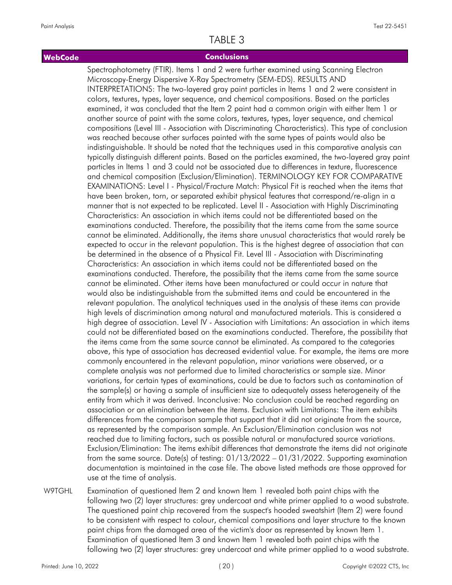#### **WebCode Conclusions**

Spectrophotometry (FTIR). Items 1 and 2 were further examined using Scanning Electron Microscopy-Energy Dispersive X-Ray Spectrometry (SEM-EDS). RESULTS AND INTERPRETATIONS: The two-layered gray paint particles in Items 1 and 2 were consistent in colors, textures, types, layer sequence, and chemical compositions. Based on the particles examined, it was concluded that the Item 2 paint had a common origin with either Item 1 or another source of paint with the same colors, textures, types, layer sequence, and chemical compositions (Level III - Association with Discriminating Characteristics). This type of conclusion was reached because other surfaces painted with the same types of paints would also be indistinguishable. It should be noted that the techniques used in this comparative analysis can typically distinguish different paints. Based on the particles examined, the two-layered gray paint particles in Items 1 and 3 could not be associated due to differences in texture, fluorescence and chemical composition (Exclusion/Elimination). TERMINOLOGY KEY FOR COMPARATIVE EXAMINATIONS: Level I - Physical/Fracture Match: Physical Fit is reached when the items that have been broken, torn, or separated exhibit physical features that correspond/re-align in a manner that is not expected to be replicated. Level II - Association with Highly Discriminating Characteristics: An association in which items could not be differentiated based on the examinations conducted. Therefore, the possibility that the items came from the same source cannot be eliminated. Additionally, the items share unusual characteristics that would rarely be expected to occur in the relevant population. This is the highest degree of association that can be determined in the absence of a Physical Fit. Level III - Association with Discriminating Characteristics: An association in which items could not be differentiated based on the examinations conducted. Therefore, the possibility that the items came from the same source cannot be eliminated. Other items have been manufactured or could occur in nature that would also be indistinguishable from the submitted items and could be encountered in the relevant population. The analytical techniques used in the analysis of these items can provide high levels of discrimination among natural and manufactured materials. This is considered a high degree of association. Level IV - Association with Limitations: An association in which items could not be differentiated based on the examinations conducted. Therefore, the possibility that the items came from the same source cannot be eliminated. As compared to the categories above, this type of association has decreased evidential value. For example, the items are more commonly encountered in the relevant population, minor variations were observed, or a complete analysis was not performed due to limited characteristics or sample size. Minor variations, for certain types of examinations, could be due to factors such as contamination of the sample(s) or having a sample of insufficient size to adequately assess heterogeneity of the entity from which it was derived. Inconclusive: No conclusion could be reached regarding an association or an elimination between the items. Exclusion with Limitations: The item exhibits differences from the comparison sample that support that it did not originate from the source, as represented by the comparison sample. An Exclusion/Elimination conclusion was not reached due to limiting factors, such as possible natural or manufactured source variations. Exclusion/Elimination: The items exhibit differences that demonstrate the items did not originate from the same source. Date(s) of testing: 01/13/2022 – 01/31/2022. Supporting examination documentation is maintained in the case file. The above listed methods are those approved for use at the time of analysis.

Examination of questioned Item 2 and known Item 1 revealed both paint chips with the following two (2) layer structures: grey undercoat and white primer applied to a wood substrate. The questioned paint chip recovered from the suspect's hooded sweatshirt (Item 2) were found to be consistent with respect to colour, chemical compositions and layer structure to the known paint chips from the damaged area of the victim's door as represented by known Item 1. Examination of questioned Item 3 and known Item 1 revealed both paint chips with the following two (2) layer structures: grey undercoat and white primer applied to a wood substrate. W9TGHL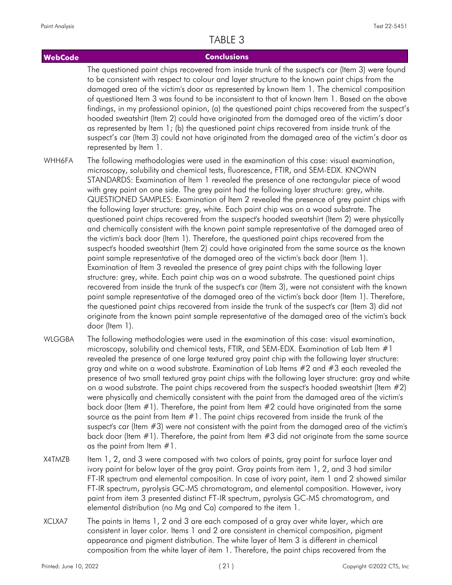#### **WebCode Conclusions** The questioned paint chips recovered from inside trunk of the suspect's car (Item 3) were found to be consistent with respect to colour and layer structure to the known paint chips from the damaged area of the victim's door as represented by known Item 1. The chemical composition of questioned Item 3 was found to be inconsistent to that of known Item 1. Based on the above findings, in my professional opinion, (a) the questioned paint chips recovered from the suspect's hooded sweatshirt (Item 2) could have originated from the damaged area of the victim's door as represented by Item 1; (b) the questioned paint chips recovered from inside trunk of the suspect's car (Item 3) could not have originated from the damaged area of the victim's door as represented by Item 1. The following methodologies were used in the examination of this case: visual examination, microscopy, solubility and chemical tests, fluorescence, FTIR, and SEM-EDX. KNOWN STANDARDS: Examination of Item 1 revealed the presence of one rectangular piece of wood with grey paint on one side. The grey paint had the following layer structure: grey, white. QUESTIONED SAMPLES: Examination of Item 2 revealed the presence of grey paint chips with the following layer structure: grey, white. Each paint chip was on a wood substrate. The questioned paint chips recovered from the suspect's hooded sweatshirt (Item 2) were physically and chemically consistent with the known paint sample representative of the damaged area of the victim's back door (Item 1). Therefore, the questioned paint chips recovered from the suspect's hooded sweatshirt (Item 2) could have originated from the same source as the known paint sample representative of the damaged area of the victim's back door (Item 1). Examination of Item 3 revealed the presence of grey paint chips with the following layer structure: grey, white. Each paint chip was on a wood substrate. The questioned paint chips recovered from inside the trunk of the suspect's car (Item 3), were not consistent with the known paint sample representative of the damaged area of the victim's back door (Item 1). Therefore, the questioned paint chips recovered from inside the trunk of the suspect's car (Item 3) did not **WHH6FA**

The following methodologies were used in the examination of this case: visual examination, microscopy, solubility and chemical tests, FTIR, and SEM-EDX. Examination of Lab Item  $#1$ revealed the presence of one large textured gray paint chip with the following layer structure: gray and white on a wood substrate. Examination of Lab Items #2 and #3 each revealed the presence of two small textured gray paint chips with the following layer structure: gray and white on a wood substrate. The paint chips recovered from the suspect's hooded sweatshirt (Item #2) were physically and chemically consistent with the paint from the damaged area of the victim's back door (Item  $\#1$ ). Therefore, the paint from Item  $\#2$  could have originated from the same source as the paint from Item #1. The paint chips recovered from inside the trunk of the suspect's car (Item #3) were not consistent with the paint from the damaged area of the victim's back door (Item #1). Therefore, the paint from Item #3 did not originate from the same source as the paint from Item #1. WI GGBA

originate from the known paint sample representative of the damaged area of the victim's back

- Item 1, 2, and 3 were composed with two colors of paints, gray paint for surface layer and ivory paint for below layer of the gray paint. Gray paints from item 1, 2, and 3 had similar FT-IR spectrum and elemental composition. In case of ivory paint, item 1 and 2 showed similar FT-IR spectrum, pyrolysis GC-MS chromatogram, and elemental composition. However, ivory paint from item 3 presented distinct FT-IR spectrum, pyrolysis GC-MS chromatogram, and elemental distribution (no Mg and Ca) compared to the item 1. X4TMZB
- The paints in Items 1, 2 and 3 are each composed of a gray over white layer, which are consistent in layer color. Items 1 and 2 are consistent in chemical composition, pigment appearance and pigment distribution. The white layer of Item 3 is different in chemical composition from the white layer of item 1. Therefore, the paint chips recovered from the XCLXA7

door (Item 1).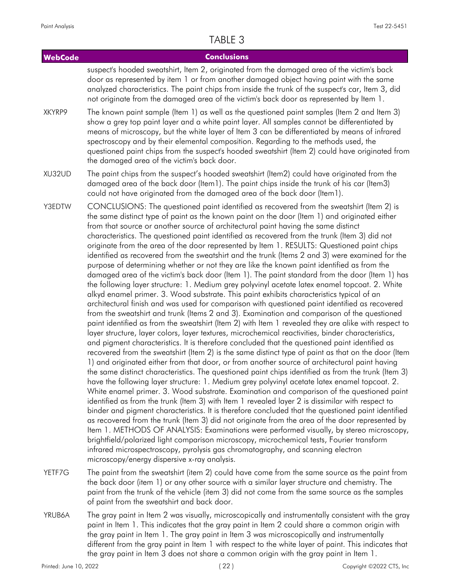| <b>WebCode</b> | <b>Conclusions</b>                                                                                                                                                                                                                                                                                                                                                                                                                                                                                                                                                                                                                                                                                                                                                                                                                                                                                                                                                                                                                                                                                                                                                                                                                                                                                                                                                                                                                                                                                                                                                                                                                                                                                                                                                                                                                                                                                                                                                                                                                                                                                                                                                                                                                                                                                                                                                                                                                                                                                                                                                                                                                                        |
|----------------|-----------------------------------------------------------------------------------------------------------------------------------------------------------------------------------------------------------------------------------------------------------------------------------------------------------------------------------------------------------------------------------------------------------------------------------------------------------------------------------------------------------------------------------------------------------------------------------------------------------------------------------------------------------------------------------------------------------------------------------------------------------------------------------------------------------------------------------------------------------------------------------------------------------------------------------------------------------------------------------------------------------------------------------------------------------------------------------------------------------------------------------------------------------------------------------------------------------------------------------------------------------------------------------------------------------------------------------------------------------------------------------------------------------------------------------------------------------------------------------------------------------------------------------------------------------------------------------------------------------------------------------------------------------------------------------------------------------------------------------------------------------------------------------------------------------------------------------------------------------------------------------------------------------------------------------------------------------------------------------------------------------------------------------------------------------------------------------------------------------------------------------------------------------------------------------------------------------------------------------------------------------------------------------------------------------------------------------------------------------------------------------------------------------------------------------------------------------------------------------------------------------------------------------------------------------------------------------------------------------------------------------------------------------|
|                | suspect's hooded sweatshirt, Item 2, originated from the damaged area of the victim's back<br>door as represented by item 1 or from another damaged object having paint with the same<br>analyzed characteristics. The paint chips from inside the trunk of the suspect's car, Item 3, did<br>not originate from the damaged area of the victim's back door as represented by Item 1.                                                                                                                                                                                                                                                                                                                                                                                                                                                                                                                                                                                                                                                                                                                                                                                                                                                                                                                                                                                                                                                                                                                                                                                                                                                                                                                                                                                                                                                                                                                                                                                                                                                                                                                                                                                                                                                                                                                                                                                                                                                                                                                                                                                                                                                                     |
| XKYRP9         | The known paint sample (Item 1) as well as the questioned paint samples (Item 2 and Item 3)<br>show a grey top paint layer and a white paint layer. All samples cannot be differentiated by<br>means of microscopy, but the white layer of Item 3 can be differentiated by means of infrared<br>spectroscopy and by their elemental composition. Regarding to the methods used, the<br>questioned paint chips from the suspect's hooded sweatshirt (Item 2) could have originated from<br>the damaged area of the victim's back door.                                                                                                                                                                                                                                                                                                                                                                                                                                                                                                                                                                                                                                                                                                                                                                                                                                                                                                                                                                                                                                                                                                                                                                                                                                                                                                                                                                                                                                                                                                                                                                                                                                                                                                                                                                                                                                                                                                                                                                                                                                                                                                                     |
| XU32UD         | The paint chips from the suspect's hooded sweatshirt (Item2) could have originated from the<br>damaged area of the back door (Item1). The paint chips inside the trunk of his car (Item3)<br>could not have originated from the damaged area of the back door (Item1).                                                                                                                                                                                                                                                                                                                                                                                                                                                                                                                                                                                                                                                                                                                                                                                                                                                                                                                                                                                                                                                                                                                                                                                                                                                                                                                                                                                                                                                                                                                                                                                                                                                                                                                                                                                                                                                                                                                                                                                                                                                                                                                                                                                                                                                                                                                                                                                    |
| Y3EDTW         | CONCLUSIONS: The questioned paint identified as recovered from the sweatshirt (Item 2) is<br>the same distinct type of paint as the known paint on the door (Item 1) and originated either<br>from that source or another source of architectural paint having the same distinct<br>characteristics. The questioned paint identified as recovered from the trunk (Item 3) did not<br>originate from the area of the door represented by Item 1. RESULTS: Questioned paint chips<br>identified as recovered from the sweatshirt and the trunk (Items 2 and 3) were examined for the<br>purpose of determining whether or not they are like the known paint identified as from the<br>damaged area of the victim's back door (Item 1). The paint standard from the door (Item 1) has<br>the following layer structure: 1. Medium grey polyvinyl acetate latex enamel topcoat. 2. White<br>alkyd enamel primer. 3. Wood substrate. This paint exhibits characteristics typical of an<br>architectural finish and was used for comparison with questioned paint identified as recovered<br>from the sweatshirt and trunk (Items 2 and 3). Examination and comparison of the questioned<br>paint identified as from the sweatshirt (Item 2) with Item 1 revealed they are alike with respect to<br>layer structure, layer colors, layer textures, microchemical reactivities, binder characteristics,<br>and pigment characteristics. It is therefore concluded that the questioned paint identified as<br>recovered from the sweatshirt (Item 2) is the same distinct type of paint as that on the door (Item<br>1) and originated either from that door, or from another source of architectural paint having<br>the same distinct characteristics. The questioned paint chips identified as from the trunk (Item 3)<br>have the following layer structure: 1. Medium grey polyvinyl acetate latex enamel topcoat. 2.<br>White enamel primer. 3. Wood substrate. Examination and comparison of the questioned paint<br>identified as from the trunk (Item 3) with Item 1 revealed layer 2 is dissimilar with respect to<br>binder and pigment characteristics. It is therefore concluded that the questioned paint identified<br>as recovered from the trunk (Item 3) did not originate from the area of the door represented by<br>Item 1. METHODS OF ANALYSIS: Examinations were performed visually, by stereo microscopy,<br>brightfield/polarized light comparison microscopy, microchemical tests, Fourier transform<br>infrared microspectroscopy, pyrolysis gas chromatography, and scanning electron<br>microscopy/energy dispersive x-ray analysis. |
|                |                                                                                                                                                                                                                                                                                                                                                                                                                                                                                                                                                                                                                                                                                                                                                                                                                                                                                                                                                                                                                                                                                                                                                                                                                                                                                                                                                                                                                                                                                                                                                                                                                                                                                                                                                                                                                                                                                                                                                                                                                                                                                                                                                                                                                                                                                                                                                                                                                                                                                                                                                                                                                                                           |

- The paint from the sweatshirt (item 2) could have come from the same source as the paint from the back door (item 1) or any other source with a similar layer structure and chemistry. The paint from the trunk of the vehicle (item 3) did not come from the same source as the samples of paint from the sweatshirt and back door. YETF7G
- The gray paint in Item 2 was visually, microscopically and instrumentally consistent with the gray paint in Item 1. This indicates that the gray paint in Item 2 could share a common origin with the gray paint in Item 1. The gray paint in Item 3 was microscopically and instrumentally different from the gray paint in Item 1 with respect to the white layer of paint. This indicates that the gray paint in Item 3 does not share a common origin with the gray paint in Item 1. YRUB6A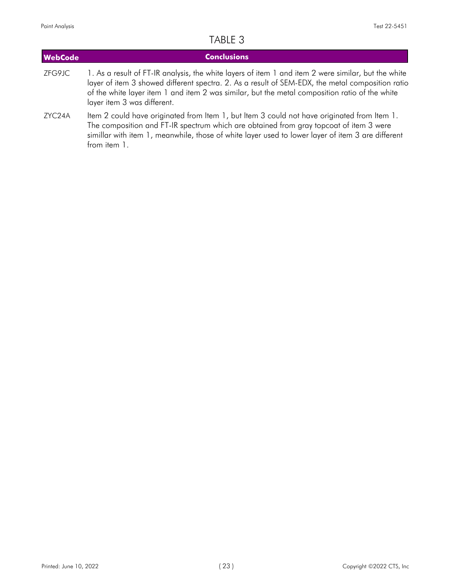from item 1.

| <b>WebCode</b> | <b>Conclusions</b>                                                                                                                                                                                                                                                                                                                       |
|----------------|------------------------------------------------------------------------------------------------------------------------------------------------------------------------------------------------------------------------------------------------------------------------------------------------------------------------------------------|
| ZFG9JC         | 1. As a result of FT-IR analysis, the white layers of item 1 and item 2 were similar, but the white<br>layer of item 3 showed different spectra. 2. As a result of SEM-EDX, the metal composition ratio<br>of the white layer item 1 and item 2 was similar, but the metal composition ratio of the white<br>layer item 3 was different. |
| ZYC24A         | Item 2 could have originated from Item 1, but Item 3 could not have originated from Item 1.<br>The composition and FT-IR spectrum which are obtained from gray topcoat of item 3 were<br>simillar with item 1, meanwhile, those of white layer used to lower layer of item 3 are different                                               |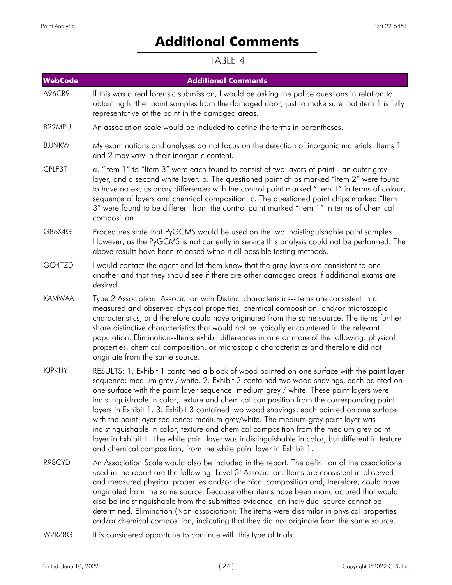# **Additional Comments**

<span id="page-23-0"></span>

| <b>WebCode</b> | <b>Additional Comments</b>                                                                                                                                                                                                                                                                                                                                                                                                                                                                                                                                                                                                                                                                                                                                                                                                                |
|----------------|-------------------------------------------------------------------------------------------------------------------------------------------------------------------------------------------------------------------------------------------------------------------------------------------------------------------------------------------------------------------------------------------------------------------------------------------------------------------------------------------------------------------------------------------------------------------------------------------------------------------------------------------------------------------------------------------------------------------------------------------------------------------------------------------------------------------------------------------|
| A96CR9         | If this was a real forensic submission, I would be asking the police questions in relation to<br>obtaining further paint samples from the damaged door, just to make sure that item 1 is fully<br>representative of the paint in the damaged areas.                                                                                                                                                                                                                                                                                                                                                                                                                                                                                                                                                                                       |
| B22MPU         | An association scale would be included to define the terms in parentheses.                                                                                                                                                                                                                                                                                                                                                                                                                                                                                                                                                                                                                                                                                                                                                                |
| <b>BJJNKW</b>  | My examinations and analyses do not focus on the detection of inorganic materials. Items 1<br>and 2 may vary in their inorganic content.                                                                                                                                                                                                                                                                                                                                                                                                                                                                                                                                                                                                                                                                                                  |
| CPLF3T         | a. "Item 1" to "Item 3" were each found to consist of two layers of paint - an outer grey<br>layer, and a second white layer. b. The questioned paint chips marked "Item 2" were found<br>to have no exclusionary differences with the control paint marked "Item 1" in terms of colour,<br>sequence of layers and chemical composition. c. The questioned paint chips marked "Item<br>3" were found to be different from the control paint marked "Item 1" in terms of chemical<br>composition.                                                                                                                                                                                                                                                                                                                                          |
| G86X4G         | Procedures state that PyGCMS would be used on the two indistinguishable paint samples.<br>However, as the PyGCMS is not currently in service this analysis could not be performed. The<br>above results have been released without all possible testing methods.                                                                                                                                                                                                                                                                                                                                                                                                                                                                                                                                                                          |
| GQ4TZD         | I would contact the agent and let them know that the gray layers are consistent to one<br>another and that they should see if there are other damaged areas if additional exams are<br>desired.                                                                                                                                                                                                                                                                                                                                                                                                                                                                                                                                                                                                                                           |
| <b>KAMWAA</b>  | Type 2 Association: Association with Distinct characteristics--Items are consistent in all<br>measured and observed physical properties, chemical composition, and/or microscopic<br>characteristics, and therefore could have originated from the same source. The items further<br>share distinctive characteristics that would not be typically encountered in the relevant<br>population. Elimination--Items exhibit differences in one or more of the following: physical<br>properties, chemical composition, or microscopic characteristics and therefore did not<br>originate from the same source.                                                                                                                                                                                                                               |
| <b>KJPKHY</b>  | RESULTS: 1. Exhibit 1 contained a block of wood painted on one surface with the paint layer<br>sequence: medium grey / white. 2. Exhibit 2 contained two wood shavings, each painted on<br>one surface with the paint layer sequence: medium grey / white. These paint layers were<br>indistinguishable in color, texture and chemical composition from the corresponding paint<br>layers in Exhibit 1. 3. Exhibit 3 contained two wood shavings, each painted on one surface<br>with the paint layer sequence: medium grey/white. The medium grey paint layer was<br>indistinguishable in color, texture and chemical composition from the medium grey paint<br>layer in Exhibit 1. The white paint layer was indistinguishable in color, but different in texture<br>and chemical composition, from the white paint layer in Exhibit 1. |
| R98CYD         | An Association Scale would also be included in the report. The definition of the associations<br>used in the report are the following: Level 3" Association: Items are consistent in observed<br>and measured physical properties and/or chemical composition and, therefore, could have<br>originated from the same source. Because other items have been manufactured that would<br>also be indistinguishable from the submitted evidence, an individual source cannot be<br>determined. Elimination (Non-association): The items were dissimilar in physical properties<br>and/or chemical composition, indicating that they did not originate from the same source.                                                                                                                                                                   |
| W2RZ8G         | It is considered opportune to continue with this type of trials.                                                                                                                                                                                                                                                                                                                                                                                                                                                                                                                                                                                                                                                                                                                                                                          |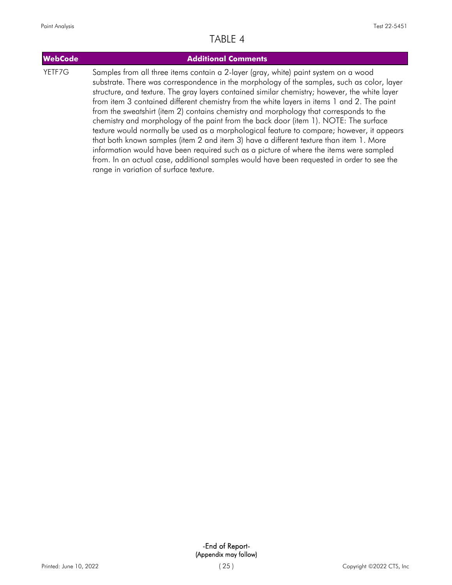| <b>WebCode</b> | <b>Additional Comments</b>                                                                                                                                                                                                                                                                                                                                                                                                                                                                                                                                                                                                                                                                                                                                                                                                                                                                                                                                                                  |
|----------------|---------------------------------------------------------------------------------------------------------------------------------------------------------------------------------------------------------------------------------------------------------------------------------------------------------------------------------------------------------------------------------------------------------------------------------------------------------------------------------------------------------------------------------------------------------------------------------------------------------------------------------------------------------------------------------------------------------------------------------------------------------------------------------------------------------------------------------------------------------------------------------------------------------------------------------------------------------------------------------------------|
| YETF7G         | Samples from all three items contain a 2-layer (gray, white) paint system on a wood<br>substrate. There was correspondence in the morphology of the samples, such as color, layer<br>structure, and texture. The gray layers contained similar chemistry; however, the white layer<br>from item 3 contained different chemistry from the white layers in items 1 and 2. The paint<br>from the sweatshirt (item 2) contains chemistry and morphology that corresponds to the<br>chemistry and morphology of the paint from the back door (item 1). NOTE: The surface<br>texture would normally be used as a morphological feature to compare; however, it appears<br>that both known samples (item 2 and item 3) have a different texture than item 1. More<br>information would have been required such as a picture of where the items were sampled<br>from. In an actual case, additional samples would have been requested in order to see the<br>range in variation of surface texture. |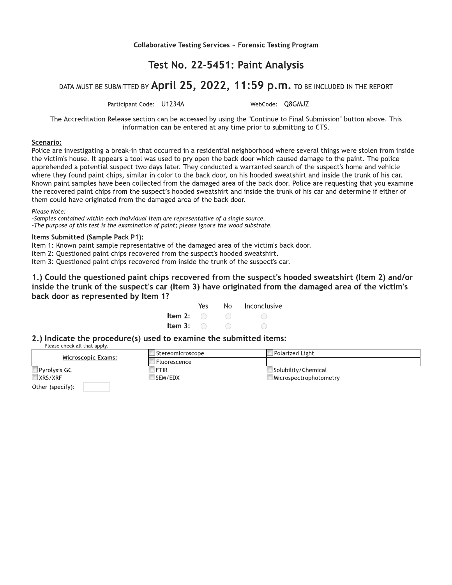Collaborative Testing Services ~ Forensic Testing Program

#### Test No. 22-5451: Paint Analysis

#### DATA MUST BE SUBMITTED BY April 25, 2022, 11:59 p.m. TO BE INCLUDED IN THE REPORT

Participant Code: U1234A

WebCode: O8GMJZ

The Accreditation Release section can be accessed by using the "Continue to Final Submission" button above. This information can be entered at any time prior to submitting to CTS.

#### Scenario:

Police are investigating a break-in that occurred in a residential neighborhood where several things were stolen from inside the victim's house. It appears a tool was used to pry open the back door which caused damage to the paint. The police apprehended a potential suspect two days later. They conducted a warranted search of the suspect's home and vehicle where they found paint chips, similar in color to the back door, on his hooded sweatshirt and inside the trunk of his car. Known paint samples have been collected from the damaged area of the back door. Police are requesting that you examine the recovered paint chips from the suspect's hooded sweatshirt and inside the trunk of his car and determine if either of them could have originated from the damaged area of the back door.

Please Note:

-Samples contained within each individual item are representative of a single source. -The purpose of this test is the examination of paint; please ignore the wood substrate.

#### Items Submitted (Sample Pack P1):

Item 1: Known paint sample representative of the damaged area of the victim's back door.

Item 2: Questioned paint chips recovered from the suspect's hooded sweatshirt.

Item 3: Questioned paint chips recovered from inside the trunk of the suspect's car.

1.) Could the questioned paint chips recovered from the suspect's hooded sweatshirt (Item 2) and/or inside the trunk of the suspect's car (Item 3) have originated from the damaged area of the victim's back door as represented by Item 1?

|                           | Yes. | No. | Inconclusive |
|---------------------------|------|-----|--------------|
| Item 2: $\qquad \bigcirc$ |      |     |              |
| Item 3: $\bigcirc$        |      |     |              |

2.) Indicate the procedure(s) used to examine the submitted items:

Please check all that apply.

| <b>Microscopic Exams:</b> | Stereomicroscope | Polarized Light        |
|---------------------------|------------------|------------------------|
|                           | Fluorescence     |                        |
| $\Box$ Pyrolysis GC       | <b>FTIR</b>      | Solubility/Chemical    |
| XRS/XRF                   | SEM/EDX          | Microspectrophotometry |
| Other (specify):          |                  |                        |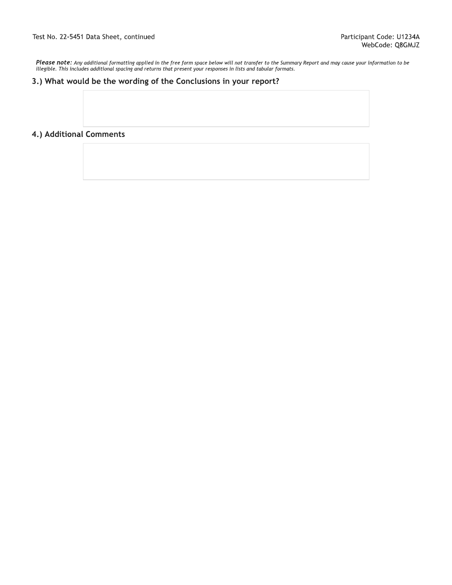Please note: Any additional formatting applied in the free form space below will not transfer to the Summary Report and may cause your information to be<br>illegible. This includes additional spacing and returns that present

#### 3.) What would be the wording of the Conclusions in your report?

#### 4.) Additional Comments